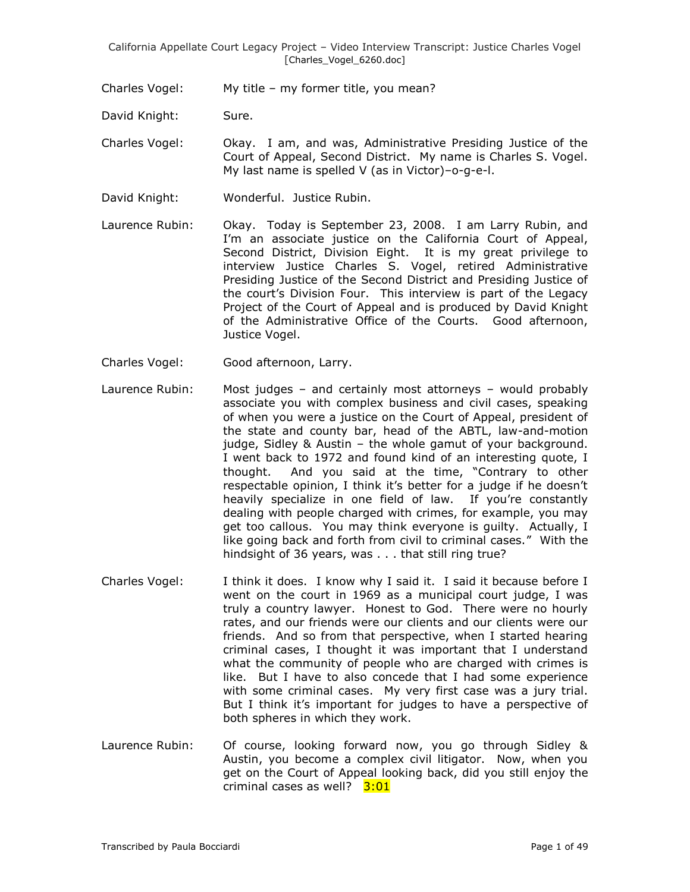Charles Vogel: My title – my former title, you mean?

David Knight: Sure.

Charles Vogel: Okay. I am, and was, Administrative Presiding Justice of the Court of Appeal, Second District. My name is Charles S. Vogel. My last name is spelled V (as in Victor)–o-g-e-l.

- David Knight: Wonderful. Justice Rubin.
- Laurence Rubin: Okay. Today is September 23, 2008. I am Larry Rubin, and I'm an associate justice on the California Court of Appeal, Second District, Division Eight. It is my great privilege to interview Justice Charles S. Vogel, retired Administrative Presiding Justice of the Second District and Presiding Justice of the court's Division Four. This interview is part of the Legacy Project of the Court of Appeal and is produced by David Knight of the Administrative Office of the Courts. Good afternoon, Justice Vogel.
- Charles Vogel: Good afternoon, Larry.
- Laurence Rubin: Most judges and certainly most attorneys would probably associate you with complex business and civil cases, speaking of when you were a justice on the Court of Appeal, president of the state and county bar, head of the ABTL, law-and-motion judge, Sidley & Austin – the whole gamut of your background. I went back to 1972 and found kind of an interesting quote, I thought. And you said at the time, "Contrary to other respectable opinion, I think it's better for a judge if he doesn't heavily specialize in one field of law. If you're constantly dealing with people charged with crimes, for example, you may get too callous. You may think everyone is guilty. Actually, I like going back and forth from civil to criminal cases." With the hindsight of 36 years, was . . . that still ring true?
- Charles Vogel: I think it does. I know why I said it. I said it because before I went on the court in 1969 as a municipal court judge, I was truly a country lawyer. Honest to God. There were no hourly rates, and our friends were our clients and our clients were our friends. And so from that perspective, when I started hearing criminal cases, I thought it was important that I understand what the community of people who are charged with crimes is like. But I have to also concede that I had some experience with some criminal cases. My very first case was a jury trial. But I think it's important for judges to have a perspective of both spheres in which they work.
- Laurence Rubin: Of course, looking forward now, you go through Sidley & Austin, you become a complex civil litigator. Now, when you get on the Court of Appeal looking back, did you still enjoy the criminal cases as well? 3:01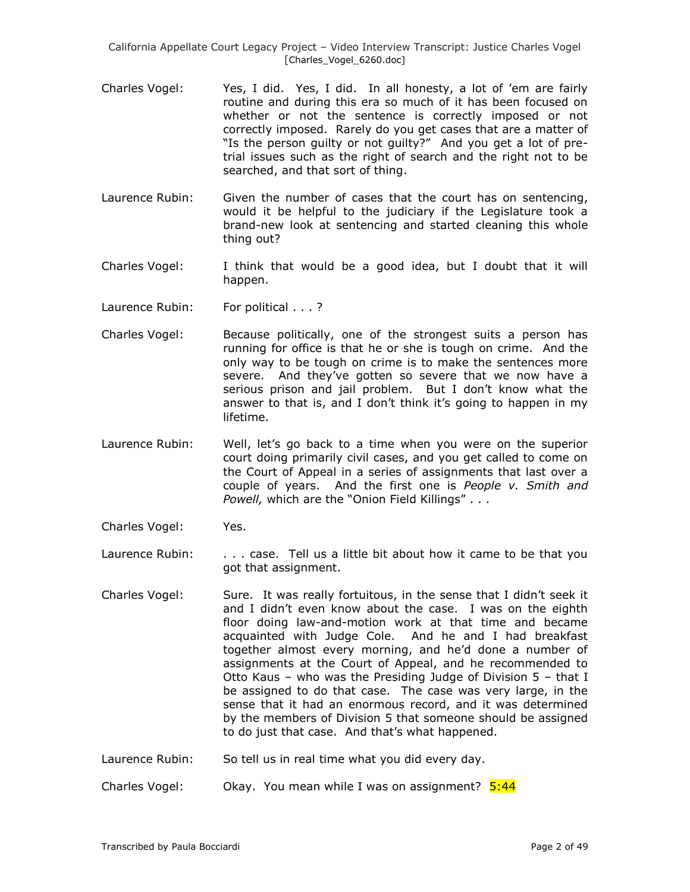- Charles Vogel: Yes, I did. Yes, I did. In all honesty, a lot of 'em are fairly routine and during this era so much of it has been focused on whether or not the sentence is correctly imposed or not correctly imposed. Rarely do you get cases that are a matter of "Is the person guilty or not guilty?" And you get a lot of pretrial issues such as the right of search and the right not to be searched, and that sort of thing.
- Laurence Rubin: Given the number of cases that the court has on sentencing, would it be helpful to the judiciary if the Legislature took a brand-new look at sentencing and started cleaning this whole thing out?
- Charles Vogel: I think that would be a good idea, but I doubt that it will happen.
- Laurence Rubin: For political . . . ?
- Charles Vogel: Because politically, one of the strongest suits a person has running for office is that he or she is tough on crime. And the only way to be tough on crime is to make the sentences more severe. And they've gotten so severe that we now have a serious prison and jail problem. But I don't know what the answer to that is, and I don't think it's going to happen in my lifetime.
- Laurence Rubin: Well, let's go back to a time when you were on the superior court doing primarily civil cases, and you get called to come on the Court of Appeal in a series of assignments that last over a couple of years. And the first one is *People v. Smith and Powell,* which are the "Onion Field Killings" . . .
- Charles Vogel: Yes.
- Laurence Rubin: . . . . . case. Tell us a little bit about how it came to be that you got that assignment.
- Charles Vogel: Sure. It was really fortuitous, in the sense that I didn't seek it and I didn't even know about the case. I was on the eighth floor doing law-and-motion work at that time and became acquainted with Judge Cole. And he and I had breakfast together almost every morning, and he'd done a number of assignments at the Court of Appeal, and he recommended to Otto Kaus – who was the Presiding Judge of Division 5 – that I be assigned to do that case. The case was very large, in the sense that it had an enormous record, and it was determined by the members of Division 5 that someone should be assigned to do just that case. And that's what happened.
- Laurence Rubin: So tell us in real time what you did every day.

Charles Vogel: Okay. You mean while I was on assignment?  $5:44$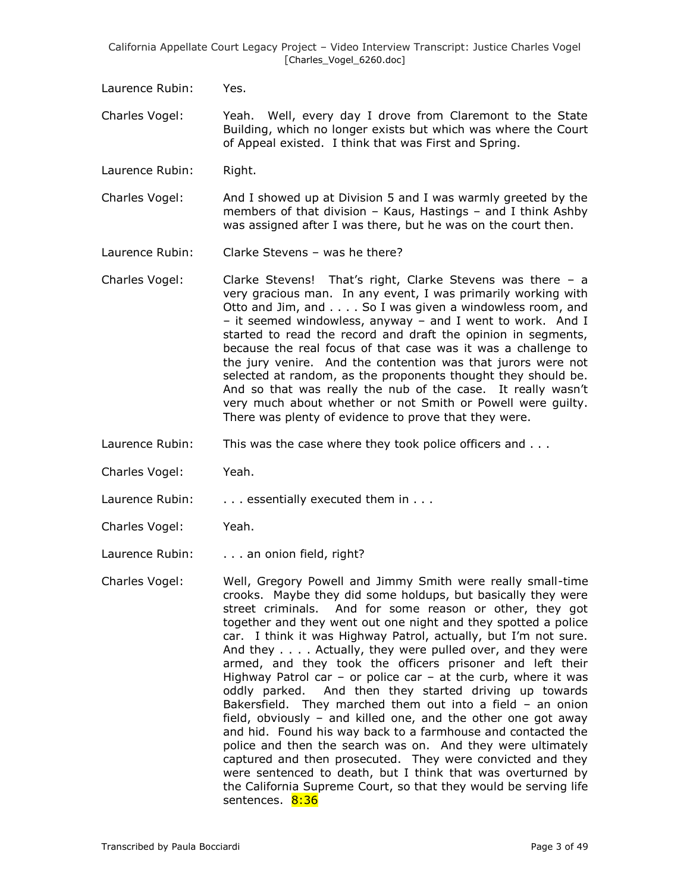Laurence Rubin: Yes.

Charles Vogel: Yeah. Well, every day I drove from Claremont to the State Building, which no longer exists but which was where the Court of Appeal existed. I think that was First and Spring.

Laurence Rubin: Right.

Charles Vogel: And I showed up at Division 5 and I was warmly greeted by the members of that division – Kaus, Hastings – and I think Ashby was assigned after I was there, but he was on the court then.

Laurence Rubin: Clarke Stevens – was he there?

- Charles Vogel: Clarke Stevens! That's right, Clarke Stevens was there a very gracious man. In any event, I was primarily working with Otto and Jim, and . . . . So I was given a windowless room, and – it seemed windowless, anyway – and I went to work. And I started to read the record and draft the opinion in segments, because the real focus of that case was it was a challenge to the jury venire. And the contention was that jurors were not selected at random, as the proponents thought they should be. And so that was really the nub of the case. It really wasn't very much about whether or not Smith or Powell were guilty. There was plenty of evidence to prove that they were.
- Laurence Rubin: This was the case where they took police officers and . . .
- Charles Vogel: Yeah.

Laurence Rubin: . . . . essentially executed them in . . .

Charles Vogel: Yeah.

Laurence Rubin: . . . . an onion field, right?

Charles Vogel: Well, Gregory Powell and Jimmy Smith were really small-time crooks. Maybe they did some holdups, but basically they were street criminals. And for some reason or other, they got together and they went out one night and they spotted a police car. I think it was Highway Patrol, actually, but I'm not sure. And they . . . . Actually, they were pulled over, and they were armed, and they took the officers prisoner and left their Highway Patrol car – or police car – at the curb, where it was oddly parked. And then they started driving up towards Bakersfield. They marched them out into a field – an onion field, obviously – and killed one, and the other one got away and hid. Found his way back to a farmhouse and contacted the police and then the search was on. And they were ultimately captured and then prosecuted. They were convicted and they were sentenced to death, but I think that was overturned by the California Supreme Court, so that they would be serving life sentences. 8:36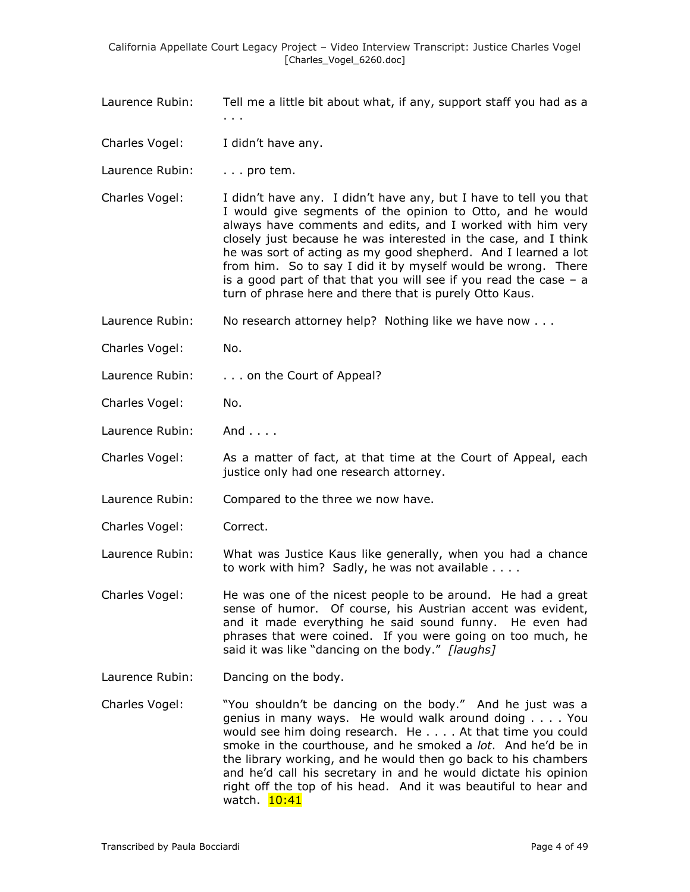- Laurence Rubin: Tell me a little bit about what, if any, support staff you had as a
- Charles Vogel: I didn't have any.

. . .

- Laurence Rubin: . . . . pro tem.
- Charles Vogel: I didn't have any. I didn't have any, but I have to tell you that I would give segments of the opinion to Otto, and he would always have comments and edits, and I worked with him very closely just because he was interested in the case, and I think he was sort of acting as my good shepherd. And I learned a lot from him. So to say I did it by myself would be wrong. There is a good part of that that you will see if you read the case  $-$  a turn of phrase here and there that is purely Otto Kaus.
- Laurence Rubin: No research attorney help? Nothing like we have now . . .
- Charles Vogel: No.
- Laurence Rubin: . . . . on the Court of Appeal?
- Charles Vogel: No.
- Laurence Rubin: And . . . .
- Charles Vogel: As a matter of fact, at that time at the Court of Appeal, each justice only had one research attorney.
- Laurence Rubin: Compared to the three we now have.
- Charles Vogel: Correct.
- Laurence Rubin: What was Justice Kaus like generally, when you had a chance to work with him? Sadly, he was not available . . . .
- Charles Vogel: He was one of the nicest people to be around. He had a great sense of humor. Of course, his Austrian accent was evident, and it made everything he said sound funny. He even had phrases that were coined. If you were going on too much, he said it was like "dancing on the body." *[laughs]*
- Laurence Rubin: Dancing on the body.
- Charles Vogel: "You shouldn't be dancing on the body." And he just was a genius in many ways. He would walk around doing . . . . You would see him doing research. He . . . . At that time you could smoke in the courthouse, and he smoked a *lot*. And he'd be in the library working, and he would then go back to his chambers and he'd call his secretary in and he would dictate his opinion right off the top of his head. And it was beautiful to hear and watch. 10:41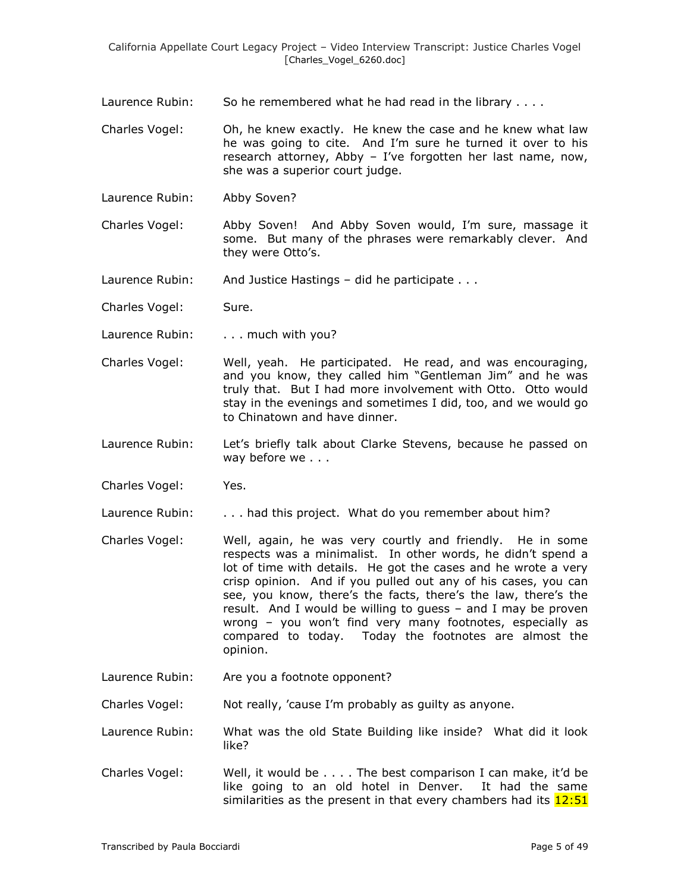Laurence Rubin: So he remembered what he had read in the library . . . .

- Charles Vogel: Oh, he knew exactly. He knew the case and he knew what law he was going to cite. And I'm sure he turned it over to his research attorney, Abby – I've forgotten her last name, now, she was a superior court judge.
- Laurence Rubin: Abby Soven?
- Charles Vogel: Abby Soven! And Abby Soven would, I'm sure, massage it some. But many of the phrases were remarkably clever. And they were Otto's.

Laurence Rubin: And Justice Hastings – did he participate . . .

Charles Vogel: Sure.

Laurence Rubin: . . . . much with you?

- Charles Vogel: Well, yeah. He participated. He read, and was encouraging, and you know, they called him "Gentleman Jim" and he was truly that. But I had more involvement with Otto. Otto would stay in the evenings and sometimes I did, too, and we would go to Chinatown and have dinner.
- Laurence Rubin: Let's briefly talk about Clarke Stevens, because he passed on way before we . . .

Charles Vogel: Yes.

Laurence Rubin: . . . . had this project. What do you remember about him?

- Charles Vogel: Well, again, he was very courtly and friendly. He in some respects was a minimalist. In other words, he didn't spend a lot of time with details. He got the cases and he wrote a very crisp opinion. And if you pulled out any of his cases, you can see, you know, there's the facts, there's the law, there's the result. And I would be willing to guess – and I may be proven wrong – you won't find very many footnotes, especially as compared to today. Today the footnotes are almost the opinion.
- Laurence Rubin: Are you a footnote opponent?

Charles Vogel: Not really, 'cause I'm probably as guilty as anyone.

Laurence Rubin: What was the old State Building like inside? What did it look like?

Charles Vogel: Well, it would be . . . . The best comparison I can make, it'd be like going to an old hotel in Denver. It had the same similarities as the present in that every chambers had its  $12:51$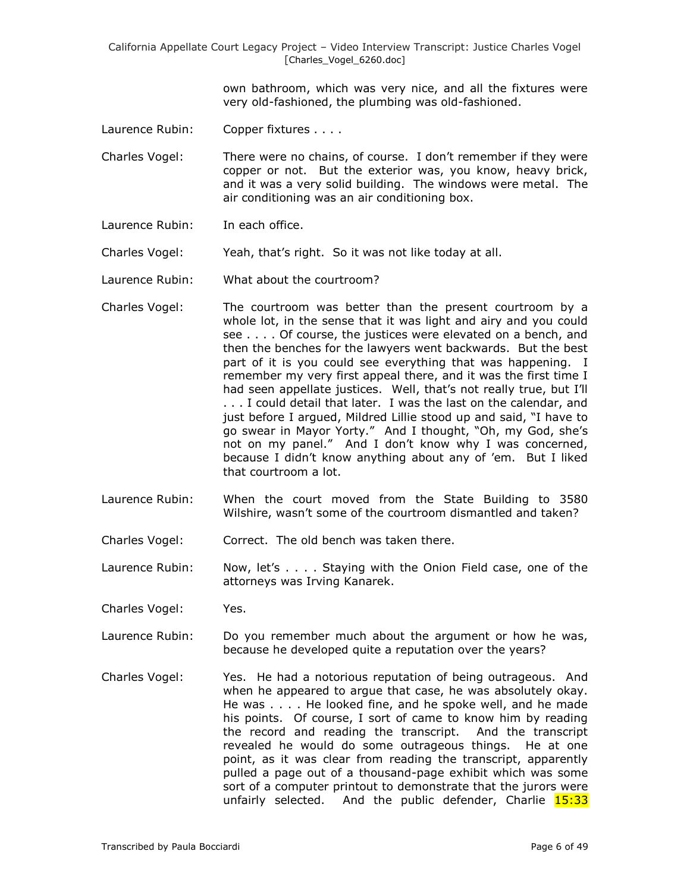> own bathroom, which was very nice, and all the fixtures were very old-fashioned, the plumbing was old-fashioned.

Laurence Rubin: Copper fixtures . . . .

Charles Vogel: There were no chains, of course. I don't remember if they were copper or not. But the exterior was, you know, heavy brick, and it was a very solid building. The windows were metal. The air conditioning was an air conditioning box.

- Laurence Rubin: In each office.
- Charles Vogel: Yeah, that's right. So it was not like today at all.

Laurence Rubin: What about the courtroom?

- Charles Vogel: The courtroom was better than the present courtroom by a whole lot, in the sense that it was light and airy and you could see . . . . Of course, the justices were elevated on a bench, and then the benches for the lawyers went backwards. But the best part of it is you could see everything that was happening. I remember my very first appeal there, and it was the first time I had seen appellate justices. Well, that's not really true, but I'll . . . I could detail that later. I was the last on the calendar, and just before I argued, Mildred Lillie stood up and said, "I have to go swear in Mayor Yorty." And I thought, "Oh, my God, she's not on my panel." And I don't know why I was concerned, because I didn't know anything about any of 'em. But I liked that courtroom a lot.
- Laurence Rubin: When the court moved from the State Building to 3580 Wilshire, wasn't some of the courtroom dismantled and taken?
- Charles Vogel: Correct. The old bench was taken there.
- Laurence Rubin: Now, let's . . . . Staying with the Onion Field case, one of the attorneys was Irving Kanarek.
- Charles Vogel: Yes.
- Laurence Rubin: Do you remember much about the argument or how he was, because he developed quite a reputation over the years?
- Charles Vogel: Yes. He had a notorious reputation of being outrageous. And when he appeared to argue that case, he was absolutely okay. He was . . . . He looked fine, and he spoke well, and he made his points. Of course, I sort of came to know him by reading the record and reading the transcript. And the transcript revealed he would do some outrageous things. He at one point, as it was clear from reading the transcript, apparently pulled a page out of a thousand-page exhibit which was some sort of a computer printout to demonstrate that the jurors were unfairly selected. And the public defender, Charlie  $15:33$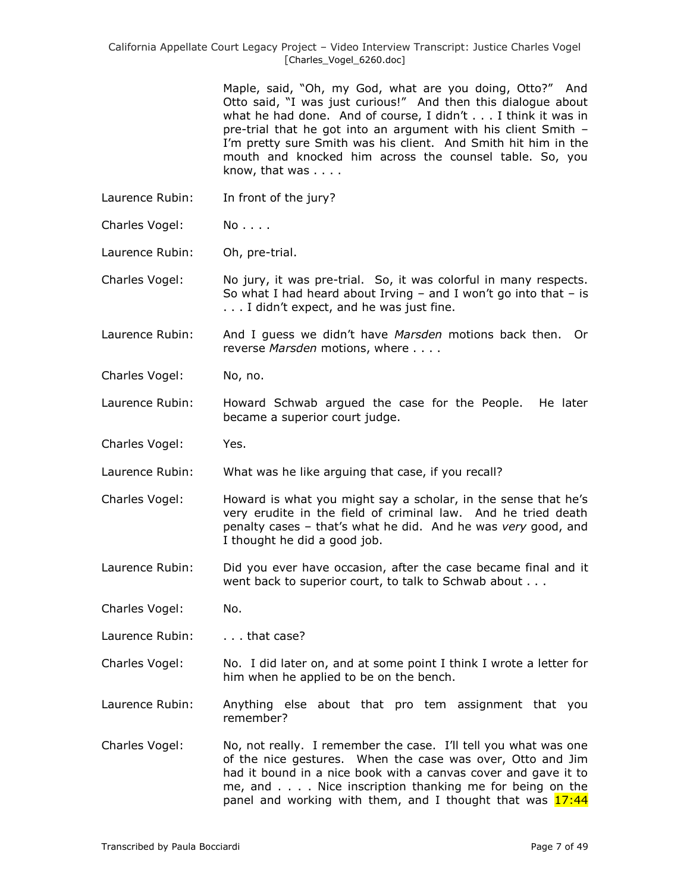> Maple, said, "Oh, my God, what are you doing, Otto?" And Otto said, "I was just curious!" And then this dialogue about what he had done. And of course, I didn't . . . I think it was in pre-trial that he got into an argument with his client Smith – I'm pretty sure Smith was his client. And Smith hit him in the mouth and knocked him across the counsel table. So, you know, that was . . . .

- Laurence Rubin: In front of the jury?
- Charles Vogel: No....

Laurence Rubin: Oh, pre-trial.

Charles Vogel: No jury, it was pre-trial. So, it was colorful in many respects. So what I had heard about Irving  $-$  and I won't go into that  $-$  is . . . I didn't expect, and he was just fine.

Laurence Rubin: And I guess we didn't have *Marsden* motions back then. Or reverse *Marsden* motions, where . . . .

Charles Vogel: No, no.

Laurence Rubin: Howard Schwab argued the case for the People. He later became a superior court judge.

Charles Vogel: Yes.

Laurence Rubin: What was he like arguing that case, if you recall?

Charles Vogel: Howard is what you might say a scholar, in the sense that he's very erudite in the field of criminal law. And he tried death penalty cases – that's what he did. And he was *very* good, and I thought he did a good job.

Laurence Rubin: Did you ever have occasion, after the case became final and it went back to superior court, to talk to Schwab about . . .

Charles Vogel: No.

Laurence Rubin: . . . . that case?

- Charles Vogel: No. I did later on, and at some point I think I wrote a letter for him when he applied to be on the bench.
- Laurence Rubin: Anything else about that pro tem assignment that you remember?
- Charles Vogel: No, not really. I remember the case. I'll tell you what was one of the nice gestures. When the case was over, Otto and Jim had it bound in a nice book with a canvas cover and gave it to me, and . . . . Nice inscription thanking me for being on the panel and working with them, and I thought that was 17:44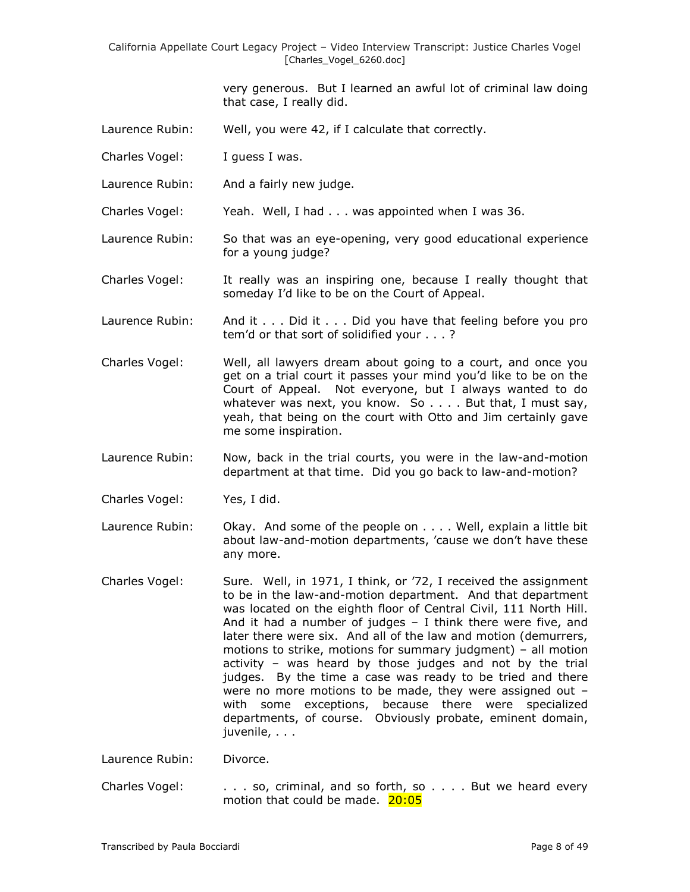> very generous. But I learned an awful lot of criminal law doing that case, I really did.

- Laurence Rubin: Well, you were 42, if I calculate that correctly.
- Charles Vogel: I guess I was.
- Laurence Rubin: And a fairly new judge.

Charles Vogel: Yeah. Well, I had . . . was appointed when I was 36.

- Laurence Rubin: So that was an eye-opening, very good educational experience for a young judge?
- Charles Vogel: It really was an inspiring one, because I really thought that someday I'd like to be on the Court of Appeal.
- Laurence Rubin: And it . . . Did it . . . Did you have that feeling before you pro tem'd or that sort of solidified your . . . ?
- Charles Vogel: Well, all lawyers dream about going to a court, and once you get on a trial court it passes your mind you'd like to be on the Court of Appeal. Not everyone, but I always wanted to do whatever was next, you know. So . . . . But that, I must say, yeah, that being on the court with Otto and Jim certainly gave me some inspiration.
- Laurence Rubin: Now, back in the trial courts, you were in the law-and-motion department at that time. Did you go back to law-and-motion?
- Charles Vogel: Yes, I did.
- Laurence Rubin: Okay. And some of the people on . . . . Well, explain a little bit about law-and-motion departments, 'cause we don't have these any more.
- Charles Vogel: Sure. Well, in 1971, I think, or '72, I received the assignment to be in the law-and-motion department. And that department was located on the eighth floor of Central Civil, 111 North Hill. And it had a number of judges – I think there were five, and later there were six. And all of the law and motion (demurrers, motions to strike, motions for summary judgment) – all motion activity – was heard by those judges and not by the trial judges. By the time a case was ready to be tried and there were no more motions to be made, they were assigned out – with some exceptions, because there were specialized departments, of course. Obviously probate, eminent domain, juvenile, . . .

Laurence Rubin: Divorce.

Charles Vogel: . . . so, criminal, and so forth, so . . . . But we heard every motion that could be made. 20:05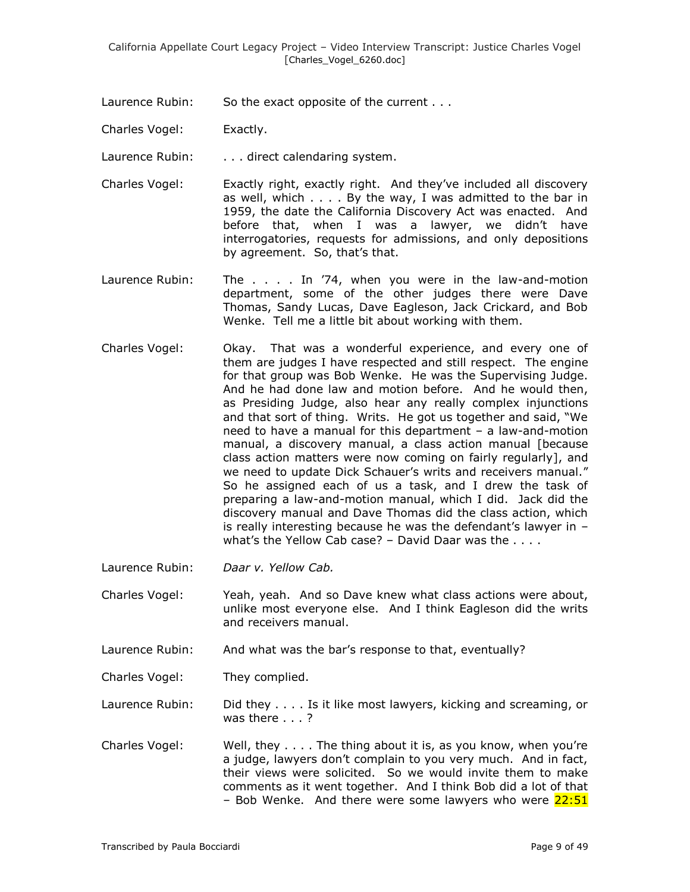- Laurence Rubin: So the exact opposite of the current . . .
- Charles Vogel: Exactly.

Laurence Rubin: . . . . direct calendaring system.

- Charles Vogel: Exactly right, exactly right. And they've included all discovery as well, which . . . . By the way, I was admitted to the bar in 1959, the date the California Discovery Act was enacted. And before that, when I was a lawyer, we didn't have interrogatories, requests for admissions, and only depositions by agreement. So, that's that.
- Laurence Rubin: The . . . . In '74, when you were in the law-and-motion department, some of the other judges there were Dave Thomas, Sandy Lucas, Dave Eagleson, Jack Crickard, and Bob Wenke. Tell me a little bit about working with them.
- Charles Vogel: Okay. That was a wonderful experience, and every one of them are judges I have respected and still respect. The engine for that group was Bob Wenke. He was the Supervising Judge. And he had done law and motion before. And he would then, as Presiding Judge, also hear any really complex injunctions and that sort of thing. Writs. He got us together and said, "We need to have a manual for this department – a law-and-motion manual, a discovery manual, a class action manual [because class action matters were now coming on fairly regularly], and we need to update Dick Schauer's writs and receivers manual." So he assigned each of us a task, and I drew the task of preparing a law-and-motion manual, which I did. Jack did the discovery manual and Dave Thomas did the class action, which is really interesting because he was the defendant's lawyer in – what's the Yellow Cab case? – David Daar was the . . . .
- Laurence Rubin: *Daar v. Yellow Cab.*

Charles Vogel: Yeah, yeah. And so Dave knew what class actions were about, unlike most everyone else. And I think Eagleson did the writs and receivers manual.

Laurence Rubin: And what was the bar's response to that, eventually?

Charles Vogel: They complied.

Laurence Rubin: Did they . . . . Is it like most lawyers, kicking and screaming, or was there . . . ?

Charles Vogel: Well, they . . . . The thing about it is, as you know, when you're a judge, lawyers don't complain to you very much. And in fact, their views were solicited. So we would invite them to make comments as it went together. And I think Bob did a lot of that – Bob Wenke. And there were some lawyers who were 22:51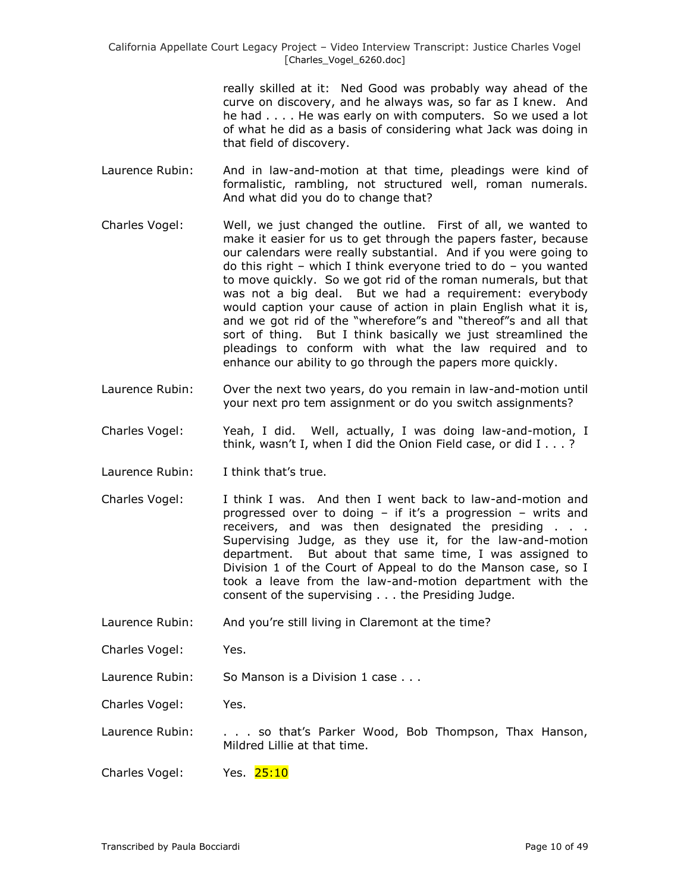> really skilled at it: Ned Good was probably way ahead of the curve on discovery, and he always was, so far as I knew. And he had . . . . He was early on with computers. So we used a lot of what he did as a basis of considering what Jack was doing in that field of discovery.

- Laurence Rubin: And in law-and-motion at that time, pleadings were kind of formalistic, rambling, not structured well, roman numerals. And what did you do to change that?
- Charles Vogel: Well, we just changed the outline. First of all, we wanted to make it easier for us to get through the papers faster, because our calendars were really substantial. And if you were going to do this right – which I think everyone tried to do – you wanted to move quickly. So we got rid of the roman numerals, but that was not a big deal. But we had a requirement: everybody would caption your cause of action in plain English what it is, and we got rid of the "wherefore"s and "thereof"s and all that sort of thing. But I think basically we just streamlined the pleadings to conform with what the law required and to enhance our ability to go through the papers more quickly.
- Laurence Rubin: Over the next two years, do you remain in law-and-motion until your next pro tem assignment or do you switch assignments?
- Charles Vogel: Yeah, I did. Well, actually, I was doing law-and-motion, I think, wasn't I, when I did the Onion Field case, or did I . . . ?
- Laurence Rubin: I think that's true.
- Charles Vogel: I think I was. And then I went back to law-and-motion and progressed over to doing – if it's a progression – writs and receivers, and was then designated the presiding . . . Supervising Judge, as they use it, for the law-and-motion department. But about that same time, I was assigned to Division 1 of the Court of Appeal to do the Manson case, so I took a leave from the law-and-motion department with the consent of the supervising . . . the Presiding Judge.
- Laurence Rubin: And you're still living in Claremont at the time?

Charles Vogel: Yes.

Laurence Rubin: So Manson is a Division 1 case . . .

Charles Vogel: Yes.

Laurence Rubin: . . . . so that's Parker Wood, Bob Thompson, Thax Hanson, Mildred Lillie at that time.

Charles Vogel: Yes. 25:10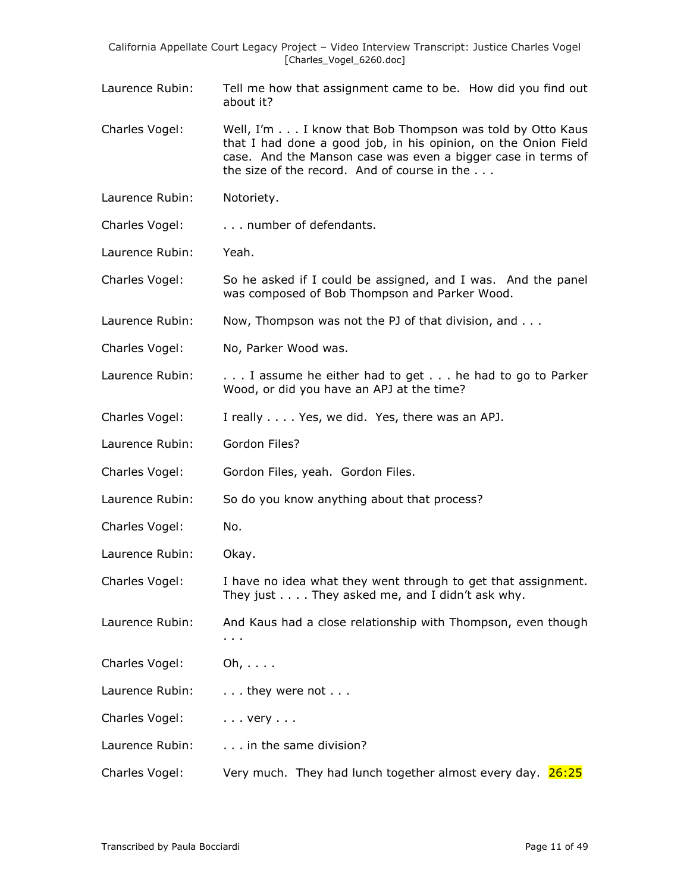- Laurence Rubin: Tell me how that assignment came to be. How did you find out about it?
- Charles Vogel: Well, I'm . . . I know that Bob Thompson was told by Otto Kaus that I had done a good job, in his opinion, on the Onion Field case. And the Manson case was even a bigger case in terms of the size of the record. And of course in the . . .
- Laurence Rubin: Notoriety.
- Charles Vogel: . . . number of defendants.
- Laurence Rubin: Yeah.
- Charles Vogel: So he asked if I could be assigned, and I was. And the panel was composed of Bob Thompson and Parker Wood.
- Laurence Rubin: Now, Thompson was not the PJ of that division, and . . .
- Charles Vogel: No, Parker Wood was.
- Laurence Rubin: . . . I assume he either had to get . . . he had to go to Parker Wood, or did you have an APJ at the time?
- Charles Vogel: I really . . . . Yes, we did. Yes, there was an APJ.
- Laurence Rubin: Gordon Files?
- Charles Vogel: Gordon Files, yeah. Gordon Files.
- Laurence Rubin: So do you know anything about that process?
- Charles Vogel: No.
- Laurence Rubin: Okay.
- Charles Vogel: I have no idea what they went through to get that assignment. They just . . . . They asked me, and I didn't ask why.
- Laurence Rubin: And Kaus had a close relationship with Thompson, even though . . .
- Charles Vogel: Oh, . . . .
- Laurence Rubin: . . . . they were not . . .
- Charles Vogel: . . . . very . . .
- Laurence Rubin: . . . . in the same division?
- Charles Vogel: Very much. They had lunch together almost every day. 26:25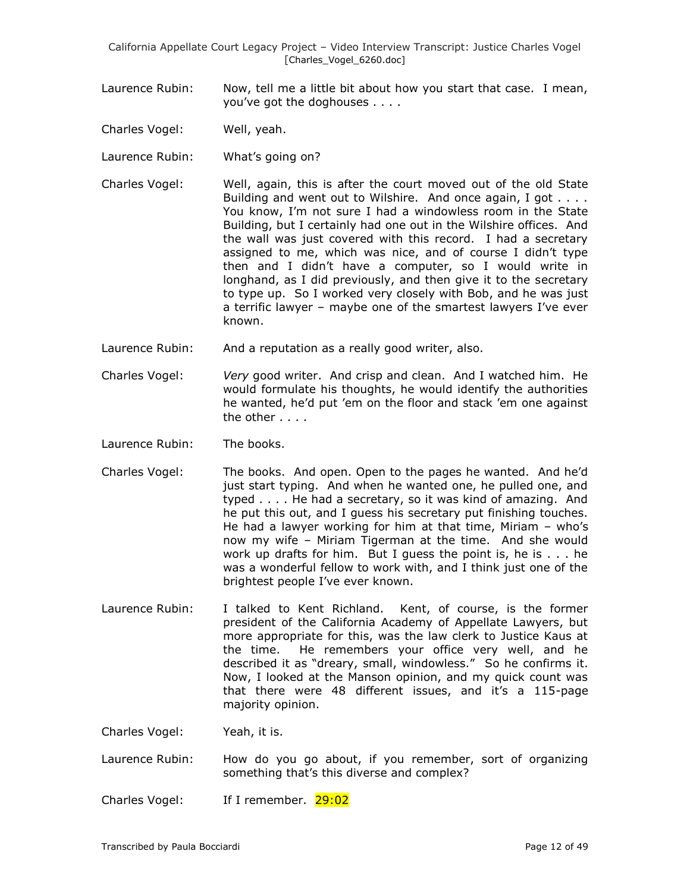- Laurence Rubin: Now, tell me a little bit about how you start that case. I mean, you've got the doghouses . . . .
- Charles Vogel: Well, yeah.
- Laurence Rubin: What's going on?
- Charles Vogel: Well, again, this is after the court moved out of the old State Building and went out to Wilshire. And once again, I got . . . . You know, I'm not sure I had a windowless room in the State Building, but I certainly had one out in the Wilshire offices. And the wall was just covered with this record. I had a secretary assigned to me, which was nice, and of course I didn't type then and I didn't have a computer, so I would write in longhand, as I did previously, and then give it to the secretary to type up. So I worked very closely with Bob, and he was just a terrific lawyer – maybe one of the smartest lawyers I've ever known.
- Laurence Rubin: And a reputation as a really good writer, also.
- Charles Vogel: *Very* good writer. And crisp and clean. And I watched him. He would formulate his thoughts, he would identify the authorities he wanted, he'd put 'em on the floor and stack 'em one against the other . . . .
- Laurence Rubin: The books.
- Charles Vogel: The books. And open. Open to the pages he wanted. And he'd just start typing. And when he wanted one, he pulled one, and typed . . . . He had a secretary, so it was kind of amazing. And he put this out, and I guess his secretary put finishing touches. He had a lawyer working for him at that time, Miriam – who's now my wife – Miriam Tigerman at the time. And she would work up drafts for him. But I guess the point is, he is . . . he was a wonderful fellow to work with, and I think just one of the brightest people I've ever known.
- Laurence Rubin: I talked to Kent Richland. Kent, of course, is the former president of the California Academy of Appellate Lawyers, but more appropriate for this, was the law clerk to Justice Kaus at the time. He remembers your office very well, and he described it as "dreary, small, windowless." So he confirms it. Now, I looked at the Manson opinion, and my quick count was that there were 48 different issues, and it's a 115-page majority opinion.

Charles Vogel: Yeah, it is.

Laurence Rubin: How do you go about, if you remember, sort of organizing something that's this diverse and complex?

Charles Vogel: If I remember. 29:02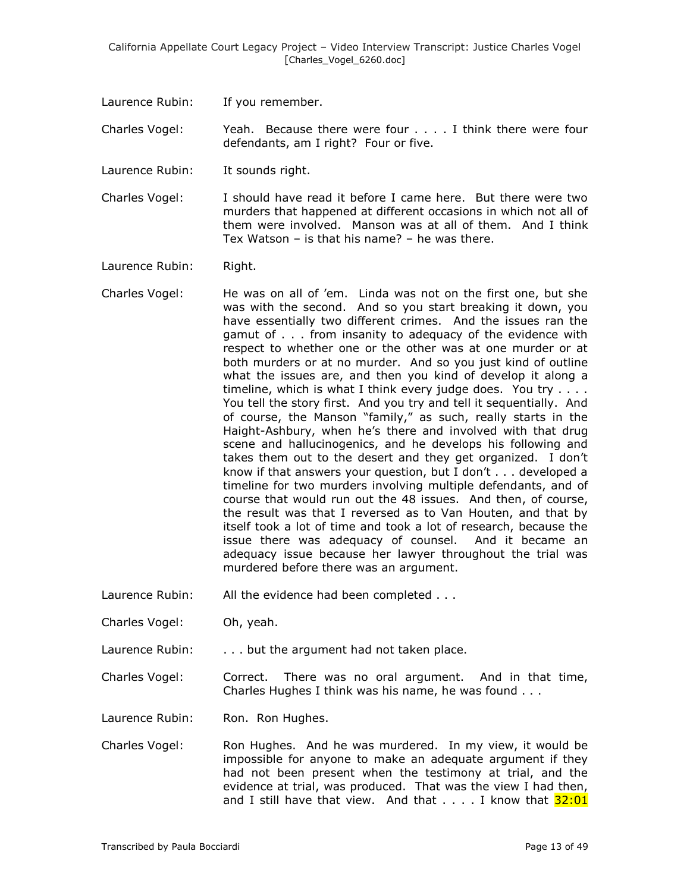Laurence Rubin: If you remember.

Charles Vogel: Yeah. Because there were four . . . . I think there were four defendants, am I right? Four or five.

Laurence Rubin: It sounds right.

Charles Vogel: I should have read it before I came here. But there were two murders that happened at different occasions in which not all of them were involved. Manson was at all of them. And I think Tex Watson – is that his name? – he was there.

Laurence Rubin: Right.

- Charles Vogel: He was on all of 'em. Linda was not on the first one, but she was with the second. And so you start breaking it down, you have essentially two different crimes. And the issues ran the gamut of . . . from insanity to adequacy of the evidence with respect to whether one or the other was at one murder or at both murders or at no murder. And so you just kind of outline what the issues are, and then you kind of develop it along a timeline, which is what I think every judge does. You try . . . . You tell the story first. And you try and tell it sequentially. And of course, the Manson "family," as such, really starts in the Haight-Ashbury, when he's there and involved with that drug scene and hallucinogenics, and he develops his following and takes them out to the desert and they get organized. I don't know if that answers your question, but I don't . . . developed a timeline for two murders involving multiple defendants, and of course that would run out the 48 issues. And then, of course, the result was that I reversed as to Van Houten, and that by itself took a lot of time and took a lot of research, because the issue there was adequacy of counsel. And it became an adequacy issue because her lawyer throughout the trial was murdered before there was an argument.
- Laurence Rubin: All the evidence had been completed . . .
- Charles Vogel: Oh, yeah.

Laurence Rubin: . . . . but the argument had not taken place.

Charles Vogel: Correct. There was no oral argument. And in that time, Charles Hughes I think was his name, he was found . . .

Laurence Rubin: Ron. Ron Hughes.

Charles Vogel: Ron Hughes. And he was murdered. In my view, it would be impossible for anyone to make an adequate argument if they had not been present when the testimony at trial, and the evidence at trial, was produced. That was the view I had then, and I still have that view. And that  $\dots$  I know that  $32:01$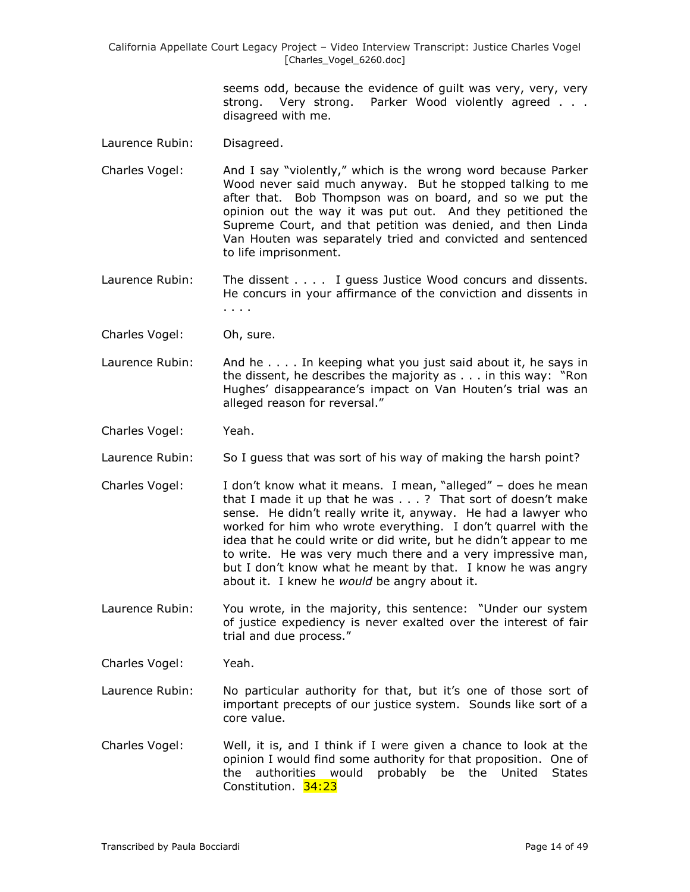> seems odd, because the evidence of guilt was very, very, very strong. Very strong. Parker Wood violently agreed . . . disagreed with me.

- Laurence Rubin: Disagreed.
- Charles Vogel: And I say "violently," which is the wrong word because Parker Wood never said much anyway. But he stopped talking to me after that. Bob Thompson was on board, and so we put the opinion out the way it was put out. And they petitioned the Supreme Court, and that petition was denied, and then Linda Van Houten was separately tried and convicted and sentenced to life imprisonment.
- Laurence Rubin: The dissent . . . . I guess Justice Wood concurs and dissents. He concurs in your affirmance of the conviction and dissents in . . . .
- Charles Vogel: Oh, sure.
- Laurence Rubin: And he . . . . In keeping what you just said about it, he says in the dissent, he describes the majority as . . . in this way: "Ron Hughes' disappearance's impact on Van Houten's trial was an alleged reason for reversal."
- Charles Vogel: Yeah.
- Laurence Rubin: So I quess that was sort of his way of making the harsh point?
- Charles Vogel: I don't know what it means. I mean, "alleged" does he mean that I made it up that he was . . . ? That sort of doesn't make sense. He didn't really write it, anyway. He had a lawyer who worked for him who wrote everything. I don't quarrel with the idea that he could write or did write, but he didn't appear to me to write. He was very much there and a very impressive man, but I don't know what he meant by that. I know he was angry about it. I knew he *would* be angry about it.
- Laurence Rubin: You wrote, in the majority, this sentence: "Under our system of justice expediency is never exalted over the interest of fair trial and due process."

Charles Vogel: Yeah.

- Laurence Rubin: No particular authority for that, but it's one of those sort of important precepts of our justice system. Sounds like sort of a core value.
- Charles Vogel: Well, it is, and I think if I were given a chance to look at the opinion I would find some authority for that proposition. One of the authorities would probably be the United States Constitution. 34:23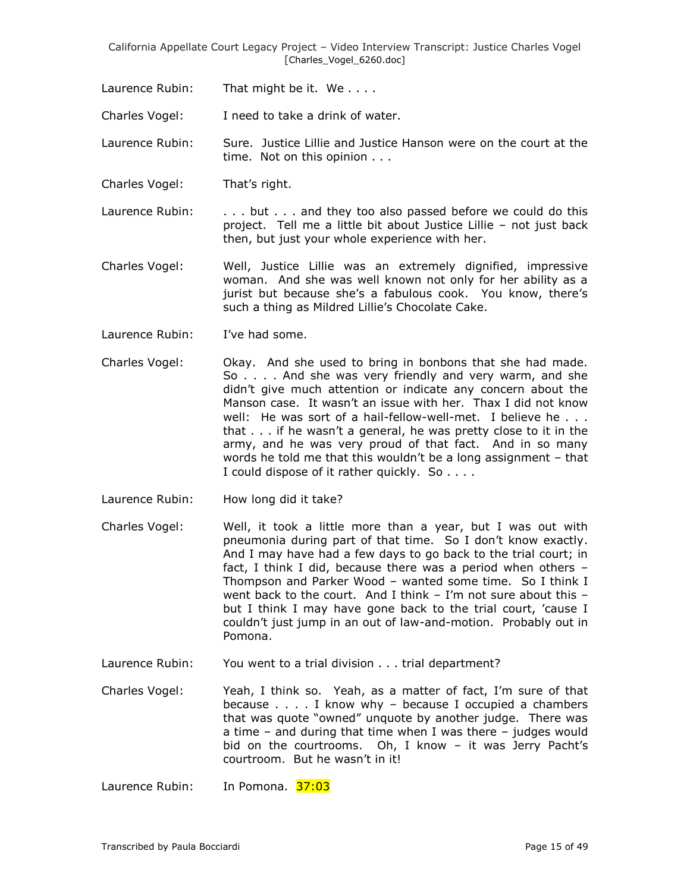Laurence Rubin: That might be it. We . . . .

Charles Vogel: I need to take a drink of water.

Laurence Rubin: Sure. Justice Lillie and Justice Hanson were on the court at the time. Not on this opinion . . .

Charles Vogel: That's right.

Laurence Rubin:  $\ldots$  but  $\ldots$  and they too also passed before we could do this project. Tell me a little bit about Justice Lillie – not just back then, but just your whole experience with her.

- Charles Vogel: Well, Justice Lillie was an extremely dignified, impressive woman. And she was well known not only for her ability as a jurist but because she's a fabulous cook. You know, there's such a thing as Mildred Lillie's Chocolate Cake.
- Laurence Rubin: I've had some.
- Charles Vogel: Okay. And she used to bring in bonbons that she had made. So . . . . And she was very friendly and very warm, and she didn't give much attention or indicate any concern about the Manson case. It wasn't an issue with her. Thax I did not know well: He was sort of a hail-fellow-well-met. I believe he... that . . . if he wasn't a general, he was pretty close to it in the army, and he was very proud of that fact. And in so many words he told me that this wouldn't be a long assignment – that I could dispose of it rather quickly. So . . . .
- Laurence Rubin: How long did it take?
- Charles Vogel: Well, it took a little more than a year, but I was out with pneumonia during part of that time. So I don't know exactly. And I may have had a few days to go back to the trial court; in fact, I think I did, because there was a period when others – Thompson and Parker Wood – wanted some time. So I think I went back to the court. And I think  $-$  I'm not sure about this  $$ but I think I may have gone back to the trial court, 'cause I couldn't just jump in an out of law-and-motion. Probably out in Pomona.
- Laurence Rubin: You went to a trial division . . . trial department?

Charles Vogel: Yeah, I think so. Yeah, as a matter of fact, I'm sure of that because  $\ldots$  . I know why – because I occupied a chambers that was quote "owned" unquote by another judge. There was a time – and during that time when I was there – judges would bid on the courtrooms. Oh, I know – it was Jerry Pacht's courtroom. But he wasn't in it!

Laurence Rubin: In Pomona. 37:03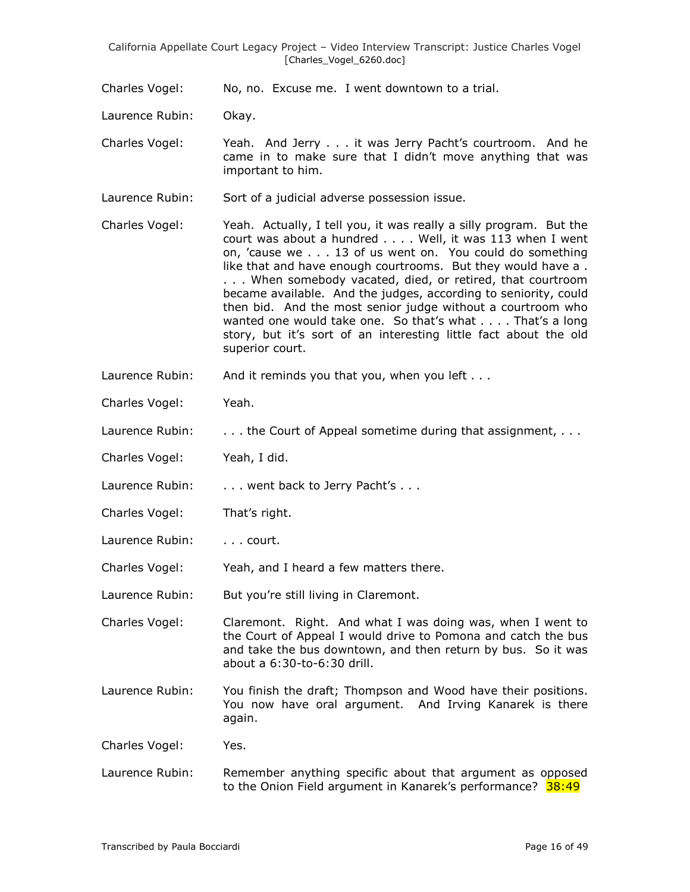Charles Vogel: No, no. Excuse me. I went downtown to a trial.

Laurence Rubin: Okay.

Charles Vogel: Yeah. And Jerry . . . it was Jerry Pacht's courtroom. And he came in to make sure that I didn't move anything that was important to him.

Laurence Rubin: Sort of a judicial adverse possession issue.

Charles Vogel: Yeah. Actually, I tell you, it was really a silly program. But the court was about a hundred . . . . Well, it was 113 when I went on, 'cause we . . . 13 of us went on. You could do something like that and have enough courtrooms. But they would have a . . . . When somebody vacated, died, or retired, that courtroom became available. And the judges, according to seniority, could then bid. And the most senior judge without a courtroom who wanted one would take one. So that's what . . . . That's a long story, but it's sort of an interesting little fact about the old superior court.

Laurence Rubin: And it reminds you that you, when you left . . .

Charles Vogel: Yeah.

Laurence Rubin: . . . . the Court of Appeal sometime during that assignment, . . .

Charles Vogel: Yeah, I did.

Laurence Rubin: . . . . went back to Jerry Pacht's . . .

Charles Vogel: That's right.

Laurence Rubin: . . . . court.

Charles Vogel: Yeah, and I heard a few matters there.

Laurence Rubin: But you're still living in Claremont.

Charles Vogel: Claremont. Right. And what I was doing was, when I went to the Court of Appeal I would drive to Pomona and catch the bus and take the bus downtown, and then return by bus. So it was about a 6:30-to-6:30 drill.

Laurence Rubin: You finish the draft; Thompson and Wood have their positions. You now have oral argument. And Irving Kanarek is there again.

Charles Vogel: Yes.

Laurence Rubin: Remember anything specific about that argument as opposed to the Onion Field argument in Kanarek's performance? 38:49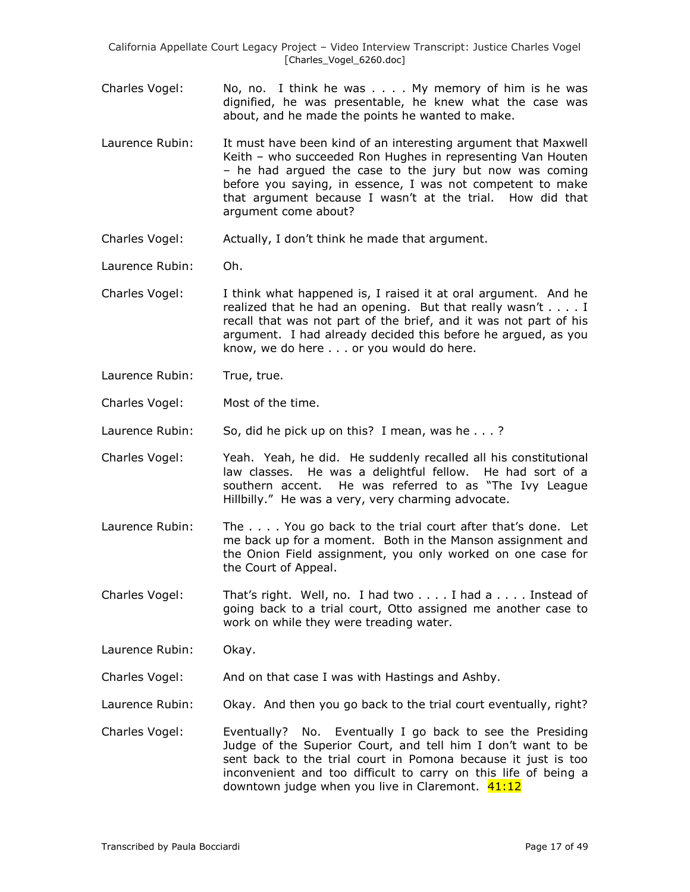- Charles Vogel: No, no. I think he was . . . . My memory of him is he was dignified, he was presentable, he knew what the case was about, and he made the points he wanted to make.
- Laurence Rubin: It must have been kind of an interesting argument that Maxwell Keith – who succeeded Ron Hughes in representing Van Houten – he had argued the case to the jury but now was coming before you saying, in essence, I was not competent to make that argument because I wasn't at the trial. How did that argument come about?
- Charles Vogel: Actually, I don't think he made that argument.
- Laurence Rubin: Oh.
- Charles Vogel: I think what happened is, I raised it at oral argument. And he realized that he had an opening. But that really wasn't . . . . I recall that was not part of the brief, and it was not part of his argument. I had already decided this before he argued, as you know, we do here . . . or you would do here.
- Laurence Rubin: True, true.
- Charles Vogel: Most of the time.

Laurence Rubin: So, did he pick up on this? I mean, was he . . .?

- Charles Vogel: Yeah. Yeah, he did. He suddenly recalled all his constitutional law classes. He was a delightful fellow. He had sort of a southern accent. He was referred to as "The Ivy League Hillbilly." He was a very, very charming advocate.
- Laurence Rubin: The . . . . You go back to the trial court after that's done. Let me back up for a moment. Both in the Manson assignment and the Onion Field assignment, you only worked on one case for the Court of Appeal.
- Charles Vogel: That's right. Well, no. I had two . . . . I had a . . . . Instead of going back to a trial court, Otto assigned me another case to work on while they were treading water.

Laurence Rubin: Okay.

Charles Vogel: And on that case I was with Hastings and Ashby.

- Laurence Rubin: Okay. And then you go back to the trial court eventually, right?
- Charles Vogel: Eventually? No. Eventually I go back to see the Presiding Judge of the Superior Court, and tell him I don't want to be sent back to the trial court in Pomona because it just is too inconvenient and too difficult to carry on this life of being a downtown judge when you live in Claremont. 41:12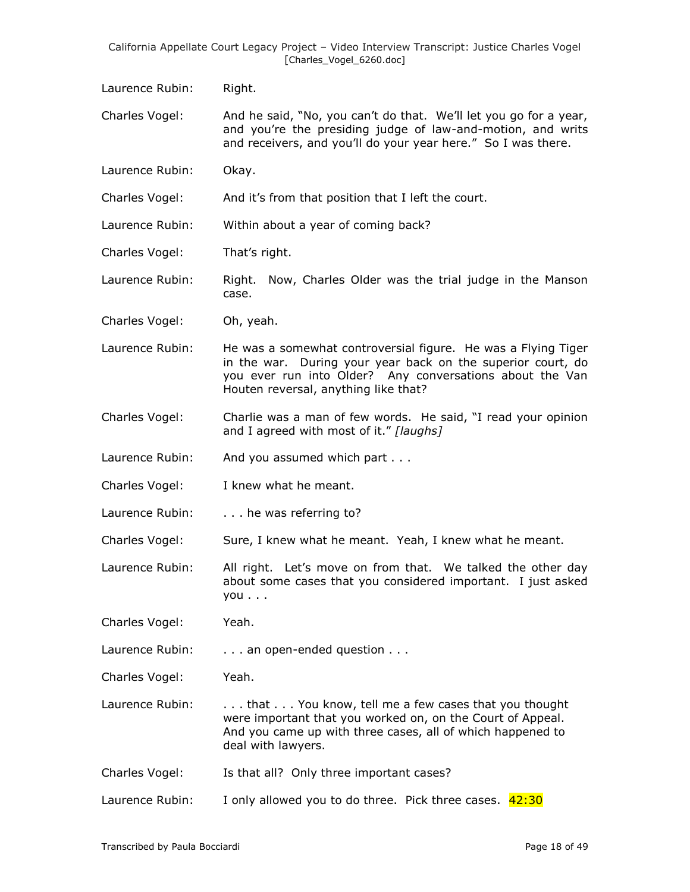Laurence Rubin: Right.

Charles Vogel: And he said, "No, you can't do that. We'll let you go for a year, and you're the presiding judge of law-and-motion, and writs and receivers, and you'll do your year here." So I was there.

Laurence Rubin: Okay.

Charles Vogel: And it's from that position that I left the court.

Laurence Rubin: Within about a year of coming back?

Charles Vogel: That's right.

Laurence Rubin: Right. Now, Charles Older was the trial judge in the Manson case.

Charles Vogel: Oh, yeah.

Laurence Rubin: He was a somewhat controversial figure. He was a Flying Tiger in the war. During your year back on the superior court, do you ever run into Older? Any conversations about the Van Houten reversal, anything like that?

Charles Vogel: Charlie was a man of few words. He said, "I read your opinion and I agreed with most of it." *[laughs]*

Laurence Rubin: And you assumed which part . . .

Charles Vogel: I knew what he meant.

Laurence Rubin: . . . . he was referring to?

Charles Vogel: Sure, I knew what he meant. Yeah, I knew what he meant.

Laurence Rubin: All right. Let's move on from that. We talked the other day about some cases that you considered important. I just asked you . . .

Charles Vogel: Yeah.

Laurence Rubin: . . . . an open-ended question . . .

Charles Vogel: Yeah.

Laurence Rubin: ... that ... You know, tell me a few cases that you thought were important that you worked on, on the Court of Appeal. And you came up with three cases, all of which happened to deal with lawyers.

Charles Vogel: Is that all? Only three important cases?

Laurence Rubin: I only allowed you to do three. Pick three cases. 42:30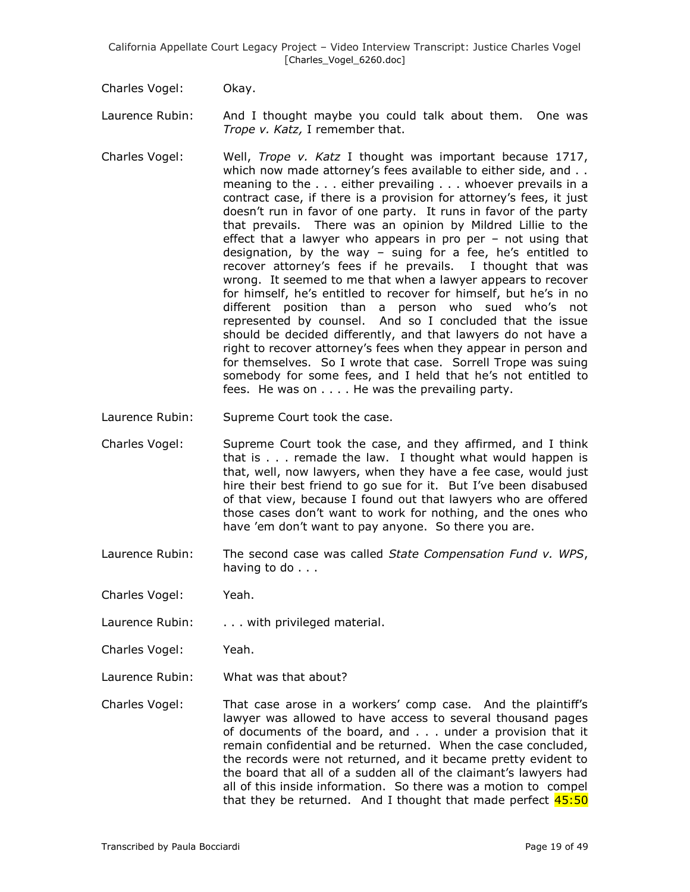Charles Vogel: Okay.

- Laurence Rubin: And I thought maybe you could talk about them. One was *Trope v. Katz,* I remember that.
- Charles Vogel: Well, *Trope v. Katz* I thought was important because 1717, which now made attorney's fees available to either side, and .. meaning to the . . . either prevailing . . . whoever prevails in a contract case, if there is a provision for attorney's fees, it just doesn't run in favor of one party. It runs in favor of the party that prevails. There was an opinion by Mildred Lillie to the effect that a lawyer who appears in pro per – not using that designation, by the way – suing for a fee, he's entitled to recover attorney's fees if he prevails. I thought that was wrong. It seemed to me that when a lawyer appears to recover for himself, he's entitled to recover for himself, but he's in no different position than a person who sued who's not represented by counsel. And so I concluded that the issue should be decided differently, and that lawyers do not have a right to recover attorney's fees when they appear in person and for themselves. So I wrote that case. Sorrell Trope was suing somebody for some fees, and I held that he's not entitled to fees. He was on . . . . He was the prevailing party.
- Laurence Rubin: Supreme Court took the case.
- Charles Vogel: Supreme Court took the case, and they affirmed, and I think that is . . . remade the law. I thought what would happen is that, well, now lawyers, when they have a fee case, would just hire their best friend to go sue for it. But I've been disabused of that view, because I found out that lawyers who are offered those cases don't want to work for nothing, and the ones who have 'em don't want to pay anyone. So there you are.
- Laurence Rubin: The second case was called *State Compensation Fund v. WPS*, having to do . . .
- Charles Vogel: Yeah.
- Laurence Rubin: . . . . with privileged material.
- Charles Vogel: Yeah.
- Laurence Rubin: What was that about?
- Charles Vogel: That case arose in a workers' comp case. And the plaintiff's lawyer was allowed to have access to several thousand pages of documents of the board, and . . . under a provision that it remain confidential and be returned. When the case concluded, the records were not returned, and it became pretty evident to the board that all of a sudden all of the claimant's lawyers had all of this inside information. So there was a motion to compel that they be returned. And I thought that made perfect  $45:50$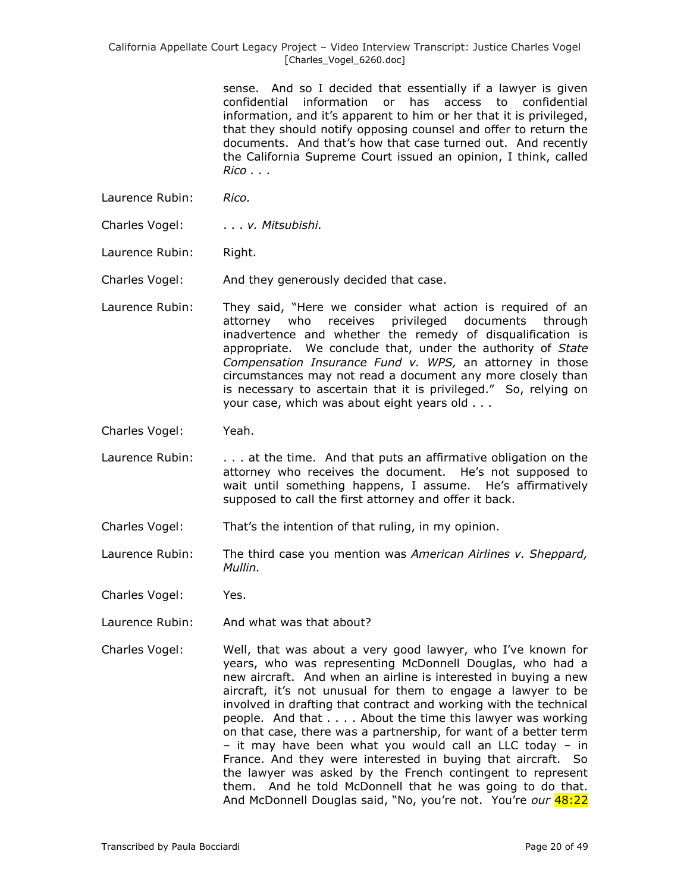> sense. And so I decided that essentially if a lawyer is given confidential information or has access to confidential information, and it's apparent to him or her that it is privileged, that they should notify opposing counsel and offer to return the documents. And that's how that case turned out. And recently the California Supreme Court issued an opinion, I think, called *Rico . . .*

- Laurence Rubin: *Rico.*
- Charles Vogel: . . . *v. Mitsubishi.*
- Laurence Rubin: Right.

Charles Vogel: And they generously decided that case.

- Laurence Rubin: They said, "Here we consider what action is required of an attorney who receives privileged documents through inadvertence and whether the remedy of disqualification is appropriate. We conclude that, under the authority of *State Compensation Insurance Fund v. WPS,* an attorney in those circumstances may not read a document any more closely than is necessary to ascertain that it is privileged." So, relying on your case, which was about eight years old . . .
- Charles Vogel: Yeah.
- Laurence Rubin: . . . . at the time. And that puts an affirmative obligation on the attorney who receives the document. He's not supposed to wait until something happens, I assume. He's affirmatively supposed to call the first attorney and offer it back.
- Charles Vogel: That's the intention of that ruling, in my opinion.
- Laurence Rubin: The third case you mention was *American Airlines v. Sheppard, Mullin.*
- Charles Vogel: Yes.
- Laurence Rubin: And what was that about?
- Charles Vogel: Well, that was about a very good lawyer, who I've known for years, who was representing McDonnell Douglas, who had a new aircraft. And when an airline is interested in buying a new aircraft, it's not unusual for them to engage a lawyer to be involved in drafting that contract and working with the technical people. And that . . . . About the time this lawyer was working on that case, there was a partnership, for want of a better term – it may have been what you would call an LLC today – in France. And they were interested in buying that aircraft. So the lawyer was asked by the French contingent to represent them. And he told McDonnell that he was going to do that. And McDonnell Douglas said, "No, you're not. You're *our* 48:22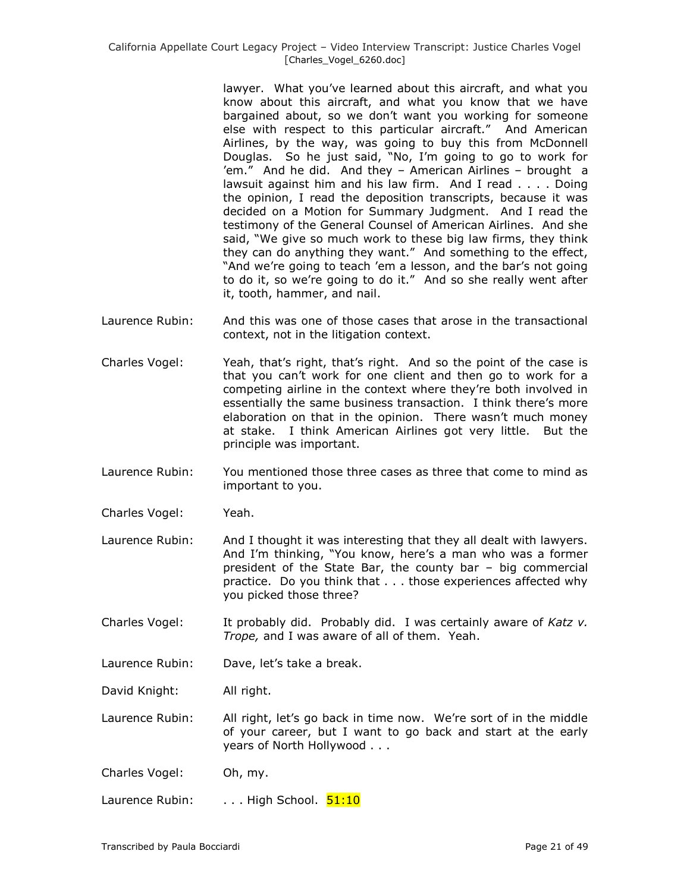lawyer. What you've learned about this aircraft, and what you know about this aircraft, and what you know that we have bargained about, so we don't want you working for someone else with respect to this particular aircraft." And American Airlines, by the way, was going to buy this from McDonnell Douglas. So he just said, "No, I'm going to go to work for 'em." And he did. And they – American Airlines – brought a lawsuit against him and his law firm. And I read . . . . Doing the opinion, I read the deposition transcripts, because it was decided on a Motion for Summary Judgment. And I read the testimony of the General Counsel of American Airlines. And she said, "We give so much work to these big law firms, they think they can do anything they want." And something to the effect, "And we're going to teach 'em a lesson, and the bar's not going to do it, so we're going to do it." And so she really went after it, tooth, hammer, and nail.

- Laurence Rubin: And this was one of those cases that arose in the transactional context, not in the litigation context.
- Charles Vogel: Yeah, that's right, that's right. And so the point of the case is that you can't work for one client and then go to work for a competing airline in the context where they're both involved in essentially the same business transaction. I think there's more elaboration on that in the opinion. There wasn't much money at stake. I think American Airlines got very little. But the principle was important.
- Laurence Rubin: You mentioned those three cases as three that come to mind as important to you.
- Charles Vogel: Yeah.
- Laurence Rubin: And I thought it was interesting that they all dealt with lawyers. And I'm thinking, "You know, here's a man who was a former president of the State Bar, the county bar – big commercial practice. Do you think that . . . those experiences affected why you picked those three?
- Charles Vogel: It probably did. Probably did. I was certainly aware of *Katz v. Trope,* and I was aware of all of them. Yeah.
- Laurence Rubin: Dave, let's take a break.
- David Knight: All right.

Laurence Rubin: All right, let's go back in time now. We're sort of in the middle of your career, but I want to go back and start at the early years of North Hollywood . . .

- Charles Vogel: Oh, my.
- Laurence Rubin: . . . . High School. 51:10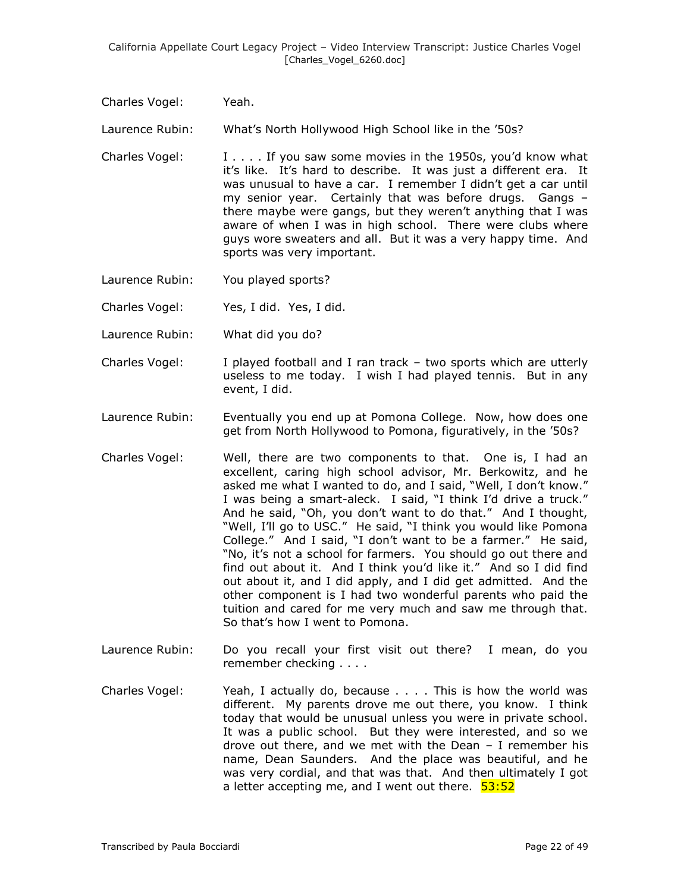Charles Vogel: Yeah.

Laurence Rubin: What's North Hollywood High School like in the '50s?

- Charles Vogel:  $\qquad \qquad$  I  $\ldots$  If you saw some movies in the 1950s, you'd know what it's like. It's hard to describe. It was just a different era. It was unusual to have a car. I remember I didn't get a car until my senior year. Certainly that was before drugs. Gangs – there maybe were gangs, but they weren't anything that I was aware of when I was in high school. There were clubs where guys wore sweaters and all. But it was a very happy time. And sports was very important.
- Laurence Rubin: You played sports?
- Charles Vogel: Yes, I did. Yes, I did.
- Laurence Rubin: What did you do?
- Charles Vogel: I played football and I ran track two sports which are utterly useless to me today. I wish I had played tennis. But in any event, I did.
- Laurence Rubin: Eventually you end up at Pomona College. Now, how does one get from North Hollywood to Pomona, figuratively, in the '50s?
- Charles Vogel: Well, there are two components to that. One is, I had an excellent, caring high school advisor, Mr. Berkowitz, and he asked me what I wanted to do, and I said, "Well, I don't know." I was being a smart-aleck. I said, "I think I'd drive a truck." And he said, "Oh, you don't want to do that." And I thought, "Well, I'll go to USC." He said, "I think you would like Pomona College." And I said, "I don't want to be a farmer." He said, "No, it's not a school for farmers. You should go out there and find out about it. And I think you'd like it." And so I did find out about it, and I did apply, and I did get admitted. And the other component is I had two wonderful parents who paid the tuition and cared for me very much and saw me through that. So that's how I went to Pomona.
- Laurence Rubin: Do you recall your first visit out there? I mean, do you remember checking . . . .
- Charles Vogel: Yeah, I actually do, because . . . . This is how the world was different. My parents drove me out there, you know. I think today that would be unusual unless you were in private school. It was a public school. But they were interested, and so we drove out there, and we met with the Dean – I remember his name, Dean Saunders. And the place was beautiful, and he was very cordial, and that was that. And then ultimately I got a letter accepting me, and I went out there. 53:52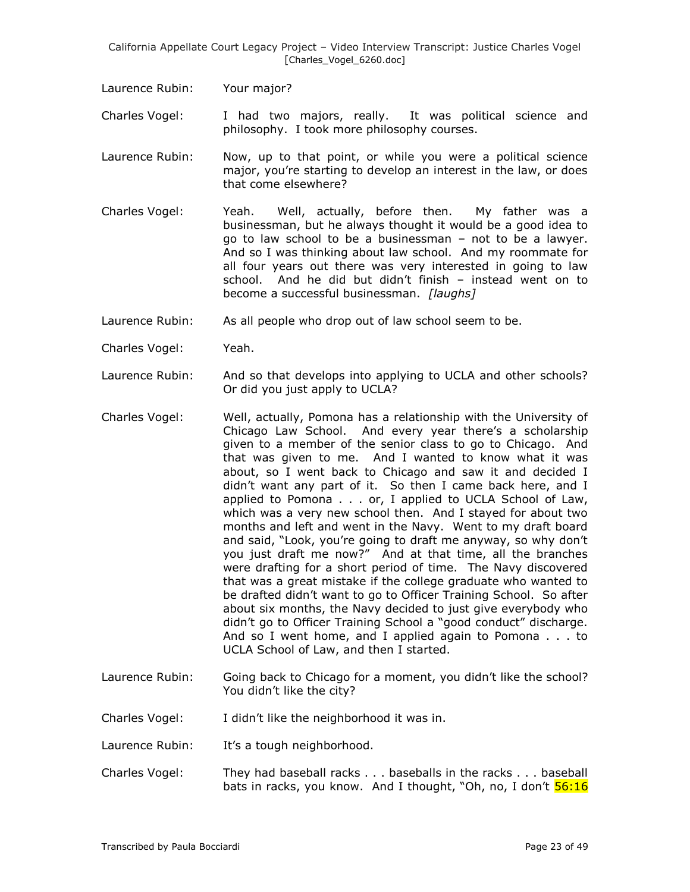Laurence Rubin: Your major?

Charles Vogel: I had two majors, really. It was political science and philosophy. I took more philosophy courses.

- Laurence Rubin: Now, up to that point, or while you were a political science major, you're starting to develop an interest in the law, or does that come elsewhere?
- Charles Vogel: Yeah. Well, actually, before then. My father was a businessman, but he always thought it would be a good idea to go to law school to be a businessman – not to be a lawyer. And so I was thinking about law school. And my roommate for all four years out there was very interested in going to law school. And he did but didn't finish – instead went on to become a successful businessman. *[laughs]*
- Laurence Rubin: As all people who drop out of law school seem to be.
- Charles Vogel: Yeah.
- Laurence Rubin: And so that develops into applying to UCLA and other schools? Or did you just apply to UCLA?
- Charles Vogel: Well, actually, Pomona has a relationship with the University of Chicago Law School. And every year there's a scholarship given to a member of the senior class to go to Chicago. And that was given to me. And I wanted to know what it was about, so I went back to Chicago and saw it and decided I didn't want any part of it. So then I came back here, and I applied to Pomona . . . or, I applied to UCLA School of Law, which was a very new school then. And I stayed for about two months and left and went in the Navy. Went to my draft board and said, "Look, you're going to draft me anyway, so why don't you just draft me now?" And at that time, all the branches were drafting for a short period of time. The Navy discovered that was a great mistake if the college graduate who wanted to be drafted didn't want to go to Officer Training School. So after about six months, the Navy decided to just give everybody who didn't go to Officer Training School a "good conduct" discharge. And so I went home, and I applied again to Pomona . . . to UCLA School of Law, and then I started.
- Laurence Rubin: Going back to Chicago for a moment, you didn't like the school? You didn't like the city?
- Charles Vogel: I didn't like the neighborhood it was in.
- Laurence Rubin: It's a tough neighborhood.
- Charles Vogel: They had baseball racks . . . baseballs in the racks . . . baseball bats in racks, you know. And I thought, "Oh, no, I don't  $\frac{56:16}{2}$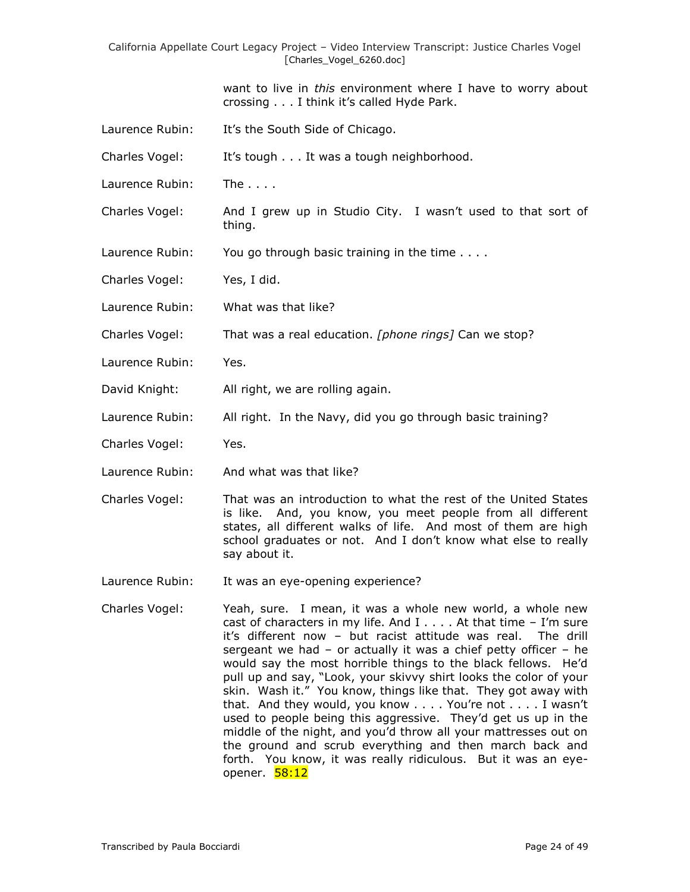want to live in *this* environment where I have to worry about crossing . . . I think it's called Hyde Park.

- Laurence Rubin: It's the South Side of Chicago.
- Charles Vogel: It's tough . . . It was a tough neighborhood.
- Laurence Rubin: The . . . .
- Charles Vogel: And I grew up in Studio City. I wasn't used to that sort of thing.
- Laurence Rubin: You go through basic training in the time . . . .
- Charles Vogel: Yes, I did.
- Laurence Rubin: What was that like?
- Charles Vogel: That was a real education. *[phone rings]* Can we stop?
- Laurence Rubin: Yes.
- David Knight: All right, we are rolling again.
- Laurence Rubin: All right. In the Navy, did you go through basic training?
- Charles Vogel: Yes.
- Laurence Rubin: And what was that like?
- Charles Vogel: That was an introduction to what the rest of the United States is like. And, you know, you meet people from all different states, all different walks of life. And most of them are high school graduates or not. And I don't know what else to really say about it.
- Laurence Rubin: It was an eye-opening experience?
- Charles Vogel: Yeah, sure. I mean, it was a whole new world, a whole new cast of characters in my life. And  $I \ldots$ . At that time - I'm sure it's different now – but racist attitude was real. The drill sergeant we had – or actually it was a chief petty officer – he would say the most horrible things to the black fellows. He'd pull up and say, "Look, your skivvy shirt looks the color of your skin. Wash it." You know, things like that. They got away with that. And they would, you know . . . . You're not . . . . I wasn't used to people being this aggressive. They'd get us up in the middle of the night, and you'd throw all your mattresses out on the ground and scrub everything and then march back and forth. You know, it was really ridiculous. But it was an eyeopener. <mark>58:12</mark>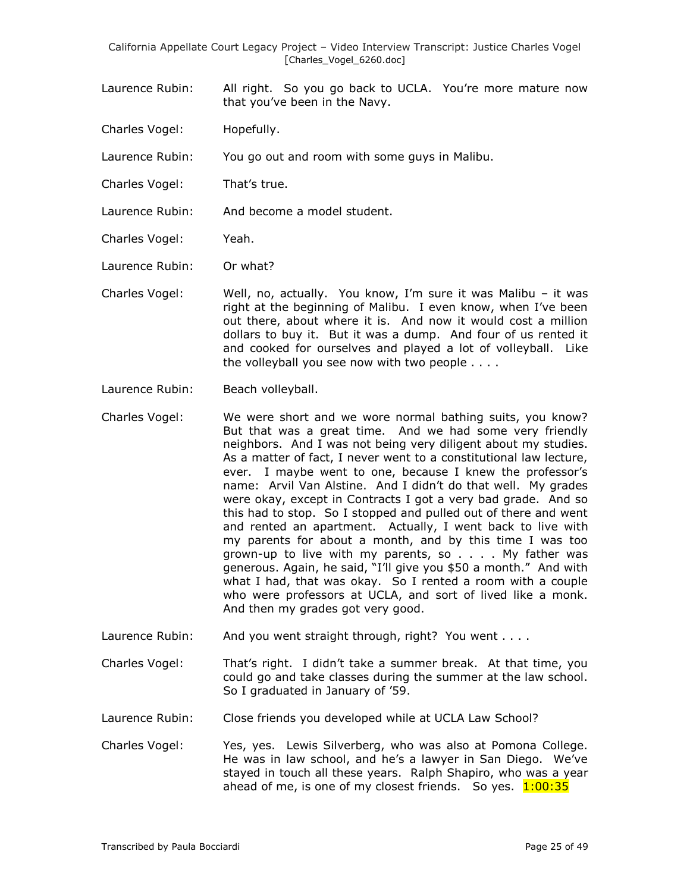- Laurence Rubin: All right. So you go back to UCLA. You're more mature now that you've been in the Navy.
- Charles Vogel: Hopefully.

Laurence Rubin: You go out and room with some guys in Malibu.

- Charles Vogel: That's true.
- Laurence Rubin: And become a model student.
- Charles Vogel: Yeah.
- Laurence Rubin: Or what?
- Charles Vogel: Well, no, actually. You know, I'm sure it was Malibu it was right at the beginning of Malibu. I even know, when I've been out there, about where it is. And now it would cost a million dollars to buy it. But it was a dump. And four of us rented it and cooked for ourselves and played a lot of volleyball. Like the volleyball you see now with two people . . . .
- Laurence Rubin: Beach volleyball.
- Charles Vogel: We were short and we wore normal bathing suits, you know? But that was a great time. And we had some very friendly neighbors. And I was not being very diligent about my studies. As a matter of fact, I never went to a constitutional law lecture, ever. I maybe went to one, because I knew the professor's name: Arvil Van Alstine. And I didn't do that well. My grades were okay, except in Contracts I got a very bad grade. And so this had to stop. So I stopped and pulled out of there and went and rented an apartment. Actually, I went back to live with my parents for about a month, and by this time I was too grown-up to live with my parents, so . . . . My father was generous. Again, he said, "I'll give you \$50 a month." And with what I had, that was okay. So I rented a room with a couple who were professors at UCLA, and sort of lived like a monk. And then my grades got very good.
- Laurence Rubin: And you went straight through, right? You went . . . .
- Charles Vogel: That's right. I didn't take a summer break. At that time, you could go and take classes during the summer at the law school. So I graduated in January of '59.
- Laurence Rubin: Close friends you developed while at UCLA Law School?
- Charles Vogel: Yes, yes. Lewis Silverberg, who was also at Pomona College. He was in law school, and he's a lawyer in San Diego. We've stayed in touch all these years. Ralph Shapiro, who was a year ahead of me, is one of my closest friends. So yes.  $1:00:35$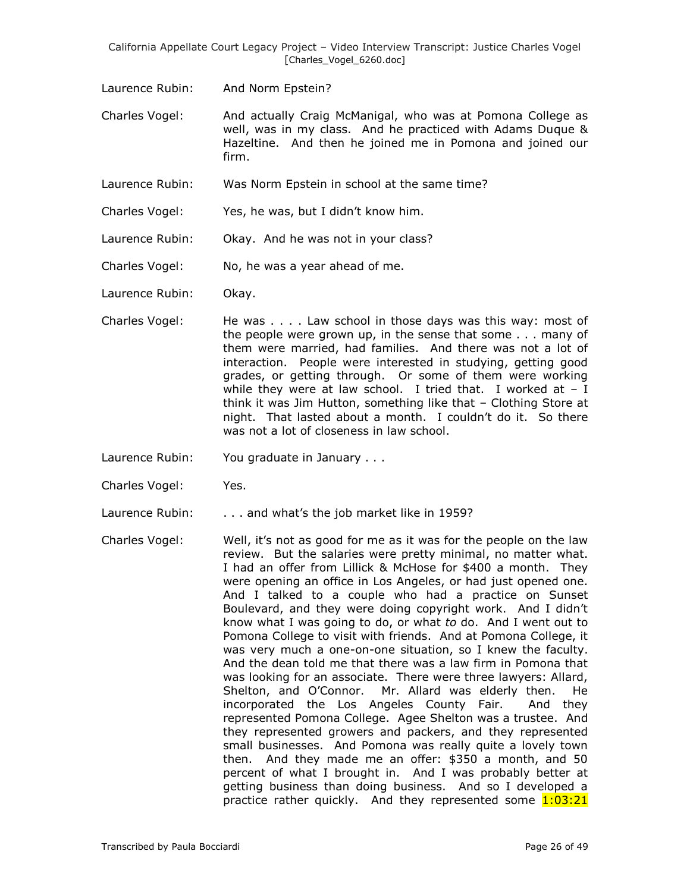Laurence Rubin: And Norm Epstein?

Charles Vogel: And actually Craig McManigal, who was at Pomona College as well, was in my class. And he practiced with Adams Duque & Hazeltine. And then he joined me in Pomona and joined our firm.

- Laurence Rubin: Was Norm Epstein in school at the same time?
- Charles Vogel: Yes, he was, but I didn't know him.
- Laurence Rubin: Okay. And he was not in your class?

Charles Vogel: No, he was a year ahead of me.

Laurence Rubin: Okay.

- Charles Vogel: He was . . . . Law school in those days was this way: most of the people were grown up, in the sense that some . . . many of them were married, had families. And there was not a lot of interaction. People were interested in studying, getting good grades, or getting through. Or some of them were working while they were at law school. I tried that. I worked at  $- I$ think it was Jim Hutton, something like that – Clothing Store at night. That lasted about a month. I couldn't do it. So there was not a lot of closeness in law school.
- Laurence Rubin: You graduate in January . . .

Charles Vogel: Yes.

Laurence Rubin: . . . . and what's the job market like in 1959?

Charles Vogel: Well, it's not as good for me as it was for the people on the law review. But the salaries were pretty minimal, no matter what. I had an offer from Lillick & McHose for \$400 a month. They were opening an office in Los Angeles, or had just opened one. And I talked to a couple who had a practice on Sunset Boulevard, and they were doing copyright work. And I didn't know what I was going to do, or what *to* do. And I went out to Pomona College to visit with friends. And at Pomona College, it was very much a one-on-one situation, so I knew the faculty. And the dean told me that there was a law firm in Pomona that was looking for an associate. There were three lawyers: Allard, Shelton, and O'Connor. Mr. Allard was elderly then. He incorporated the Los Angeles County Fair. And they represented Pomona College. Agee Shelton was a trustee. And they represented growers and packers, and they represented small businesses. And Pomona was really quite a lovely town then. And they made me an offer: \$350 a month, and 50 percent of what I brought in. And I was probably better at getting business than doing business. And so I developed a practice rather quickly. And they represented some  $1:03:21$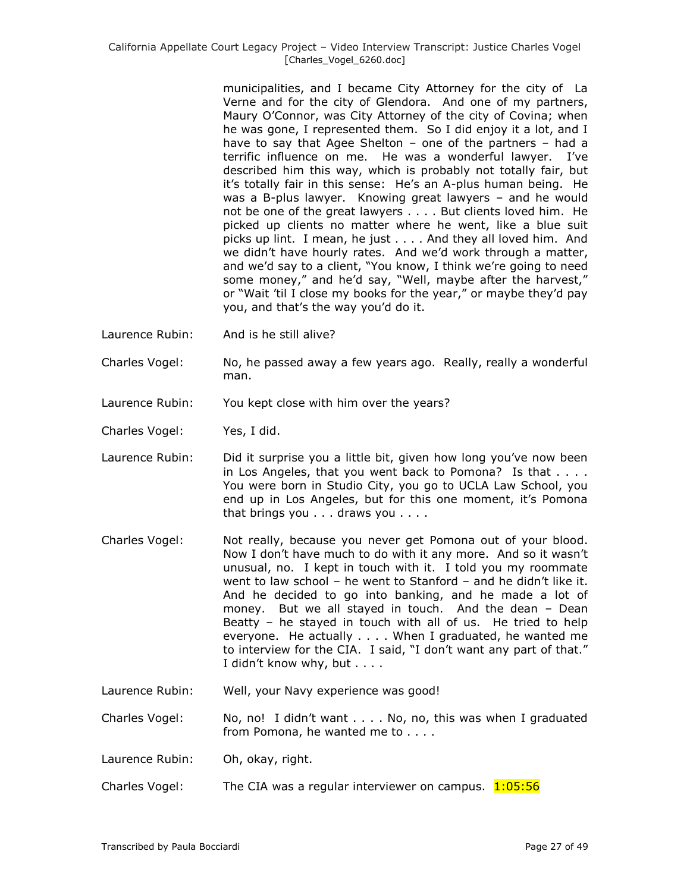municipalities, and I became City Attorney for the city of La Verne and for the city of Glendora. And one of my partners, Maury O'Connor, was City Attorney of the city of Covina; when he was gone, I represented them. So I did enjoy it a lot, and I have to say that Agee Shelton – one of the partners – had a terrific influence on me. He was a wonderful lawyer. I've described him this way, which is probably not totally fair, but it's totally fair in this sense: He's an A-plus human being. He was a B-plus lawyer. Knowing great lawyers – and he would not be one of the great lawyers . . . . But clients loved him. He picked up clients no matter where he went, like a blue suit picks up lint. I mean, he just . . . . And they all loved him. And we didn't have hourly rates. And we'd work through a matter, and we'd say to a client, "You know, I think we're going to need some money," and he'd say, "Well, maybe after the harvest," or "Wait 'til I close my books for the year," or maybe they'd pay you, and that's the way you'd do it.

- Laurence Rubin: And is he still alive?
- Charles Vogel: No, he passed away a few years ago. Really, really a wonderful man.
- Laurence Rubin: You kept close with him over the years?
- Charles Vogel: Yes, I did.
- Laurence Rubin: Did it surprise you a little bit, given how long you've now been in Los Angeles, that you went back to Pomona? Is that . . . . You were born in Studio City, you go to UCLA Law School, you end up in Los Angeles, but for this one moment, it's Pomona that brings you . . . draws you . . . .
- Charles Vogel: Not really, because you never get Pomona out of your blood. Now I don't have much to do with it any more. And so it wasn't unusual, no. I kept in touch with it. I told you my roommate went to law school – he went to Stanford – and he didn't like it. And he decided to go into banking, and he made a lot of money. But we all stayed in touch. And the dean – Dean Beatty – he stayed in touch with all of us. He tried to help everyone. He actually . . . . When I graduated, he wanted me to interview for the CIA. I said, "I don't want any part of that." I didn't know why, but . . . .
- Laurence Rubin: Well, your Navy experience was good!
- Charles Vogel: No, no! I didn't want . . . . No, no, this was when I graduated from Pomona, he wanted me to . . . .
- Laurence Rubin: Oh, okay, right.
- Charles Vogel: The CIA was a regular interviewer on campus.  $1:05:56$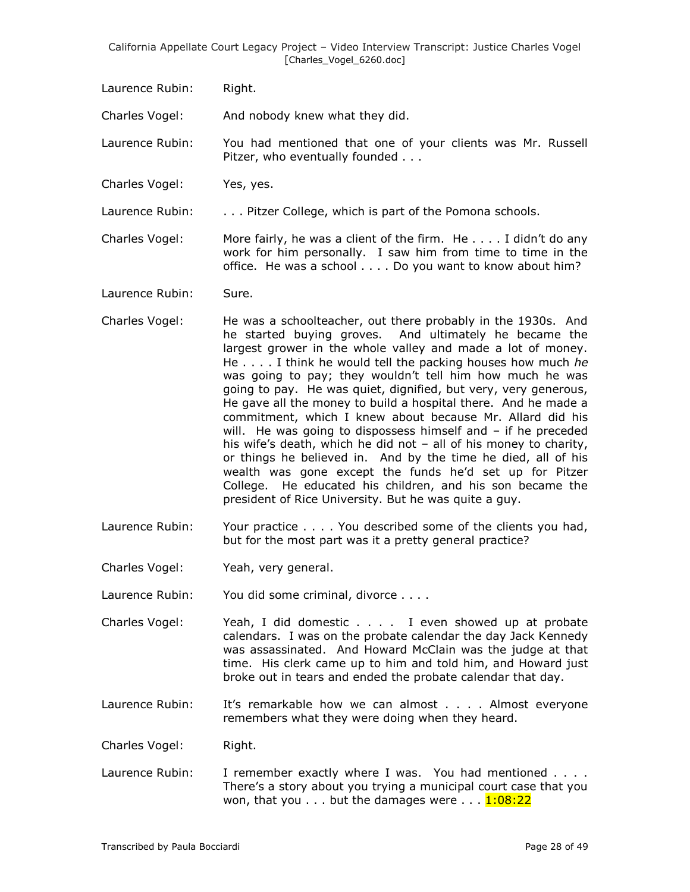Laurence Rubin: Right.

Charles Vogel: And nobody knew what they did.

Laurence Rubin: You had mentioned that one of your clients was Mr. Russell Pitzer, who eventually founded . . .

Charles Vogel: Yes, yes.

Laurence Rubin: . . . . . Pitzer College, which is part of the Pomona schools.

Charles Vogel: More fairly, he was a client of the firm. He  $\dots$  I didn't do any work for him personally. I saw him from time to time in the office. He was a school . . . . Do you want to know about him?

Laurence Rubin: Sure.

- Charles Vogel: He was a schoolteacher, out there probably in the 1930s. And he started buying groves. And ultimately he became the largest grower in the whole valley and made a lot of money. He . . . . I think he would tell the packing houses how much *he* was going to pay; they wouldn't tell him how much he was going to pay. He was quiet, dignified, but very, very generous, He gave all the money to build a hospital there. And he made a commitment, which I knew about because Mr. Allard did his will. He was going to dispossess himself and – if he preceded his wife's death, which he did not – all of his money to charity, or things he believed in. And by the time he died, all of his wealth was gone except the funds he'd set up for Pitzer College. He educated his children, and his son became the president of Rice University. But he was quite a guy.
- Laurence Rubin: Your practice . . . . You described some of the clients you had, but for the most part was it a pretty general practice?

Charles Vogel: Yeah, very general.

Laurence Rubin: You did some criminal, divorce . . . .

- Charles Vogel: Yeah, I did domestic . . . . I even showed up at probate calendars. I was on the probate calendar the day Jack Kennedy was assassinated. And Howard McClain was the judge at that time. His clerk came up to him and told him, and Howard just broke out in tears and ended the probate calendar that day.
- Laurence Rubin: It's remarkable how we can almost . . . . Almost everyone remembers what they were doing when they heard.

Charles Vogel: Right.

Laurence Rubin: I remember exactly where I was. You had mentioned . . . . There's a story about you trying a municipal court case that you won, that you  $\dots$  but the damages were  $\dots$   $1:08:22$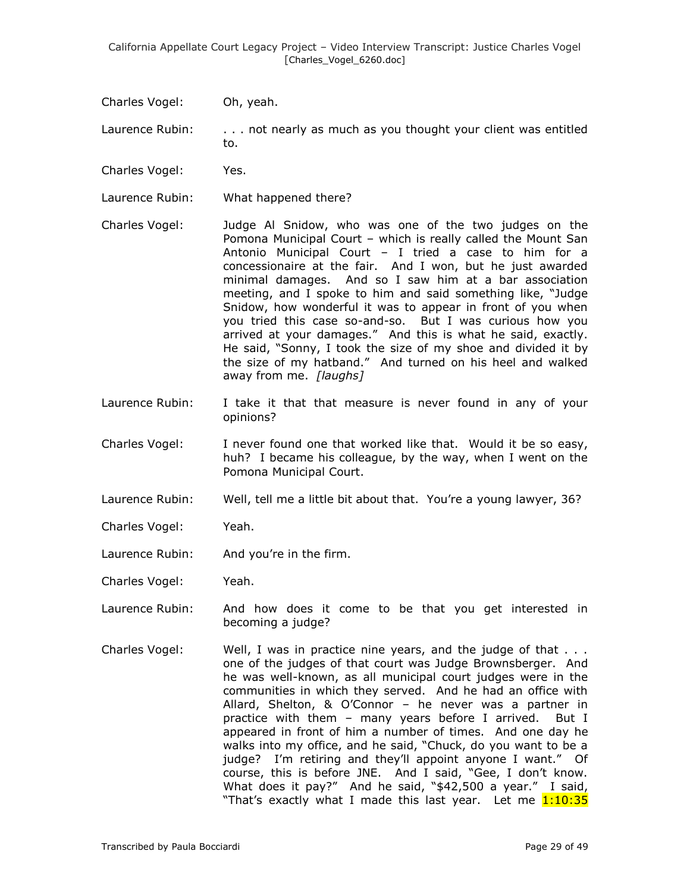Charles Vogel: Oh, yeah.

Laurence Rubin: . . . . not nearly as much as you thought your client was entitled to.

- Charles Vogel: Yes.
- Laurence Rubin: What happened there?
- Charles Vogel: Judge Al Snidow, who was one of the two judges on the Pomona Municipal Court – which is really called the Mount San Antonio Municipal Court – I tried a case to him for a concessionaire at the fair. And I won, but he just awarded minimal damages. And so I saw him at a bar association meeting, and I spoke to him and said something like, "Judge Snidow, how wonderful it was to appear in front of you when you tried this case so-and-so. But I was curious how you arrived at your damages." And this is what he said, exactly. He said, "Sonny, I took the size of my shoe and divided it by the size of my hatband." And turned on his heel and walked away from me. *[laughs]*
- Laurence Rubin: I take it that that measure is never found in any of your opinions?
- Charles Vogel: I never found one that worked like that. Would it be so easy, huh? I became his colleague, by the way, when I went on the Pomona Municipal Court.
- Laurence Rubin: Well, tell me a little bit about that. You're a young lawyer, 36?
- Charles Vogel: Yeah.
- Laurence Rubin: And you're in the firm.
- Charles Vogel: Yeah.
- Laurence Rubin: And how does it come to be that you get interested in becoming a judge?
- Charles Vogel: Well, I was in practice nine years, and the judge of that . . . one of the judges of that court was Judge Brownsberger. And he was well-known, as all municipal court judges were in the communities in which they served. And he had an office with Allard, Shelton, & O'Connor – he never was a partner in practice with them – many years before I arrived. But I appeared in front of him a number of times. And one day he walks into my office, and he said, "Chuck, do you want to be a judge? I'm retiring and they'll appoint anyone I want." Of course, this is before JNE. And I said, "Gee, I don't know. What does it pay?" And he said, "\$42,500 a year." I said, "That's exactly what I made this last year. Let me 1:10:35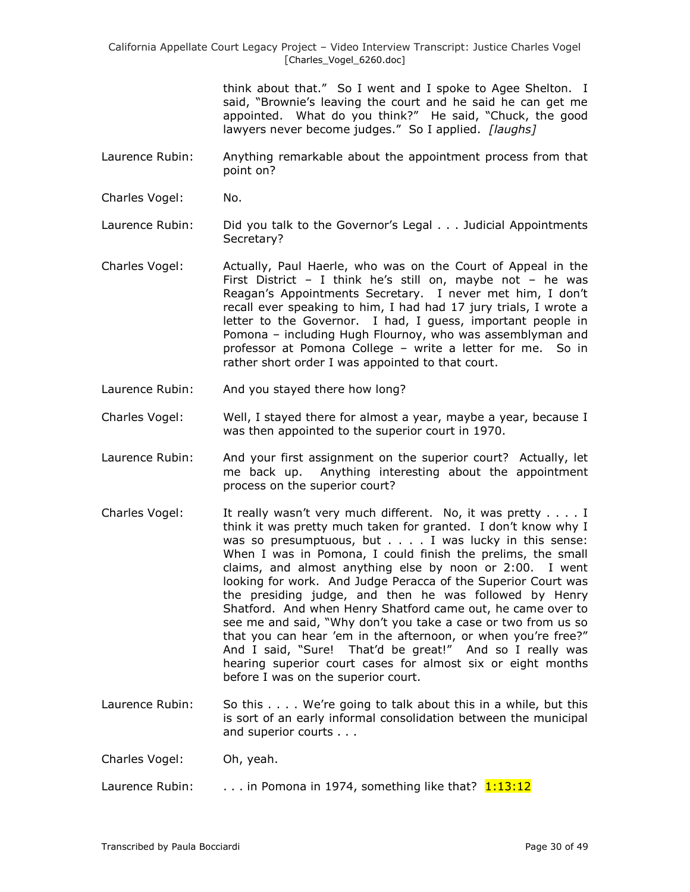> think about that." So I went and I spoke to Agee Shelton. I said, "Brownie's leaving the court and he said he can get me appointed. What do you think?" He said, "Chuck, the good lawyers never become judges." So I applied. *[laughs]*

- Laurence Rubin: Anything remarkable about the appointment process from that point on?
- Charles Vogel: No.

Laurence Rubin: Did you talk to the Governor's Legal . . . Judicial Appointments Secretary?

- Charles Vogel: Actually, Paul Haerle, who was on the Court of Appeal in the First District - I think he's still on, maybe not - he was Reagan's Appointments Secretary. I never met him, I don't recall ever speaking to him, I had had 17 jury trials, I wrote a letter to the Governor. I had, I guess, important people in Pomona – including Hugh Flournoy, who was assemblyman and professor at Pomona College – write a letter for me. So in rather short order I was appointed to that court.
- Laurence Rubin: And you stayed there how long?
- Charles Vogel: Well, I stayed there for almost a year, maybe a year, because I was then appointed to the superior court in 1970.
- Laurence Rubin: And your first assignment on the superior court? Actually, let me back up. Anything interesting about the appointment process on the superior court?
- Charles Vogel: It really wasn't very much different. No, it was pretty . . . . I think it was pretty much taken for granted. I don't know why I was so presumptuous, but . . . . I was lucky in this sense: When I was in Pomona, I could finish the prelims, the small claims, and almost anything else by noon or 2:00. I went looking for work. And Judge Peracca of the Superior Court was the presiding judge, and then he was followed by Henry Shatford. And when Henry Shatford came out, he came over to see me and said, "Why don't you take a case or two from us so that you can hear 'em in the afternoon, or when you're free?" And I said, "Sure! That'd be great!" And so I really was hearing superior court cases for almost six or eight months before I was on the superior court.
- Laurence Rubin: So this . . . . We're going to talk about this in a while, but this is sort of an early informal consolidation between the municipal and superior courts . . .

Charles Vogel: Oh, yeah.

Laurence Rubin:  $\ldots$  in Pomona in 1974, something like that?  $1:13:12$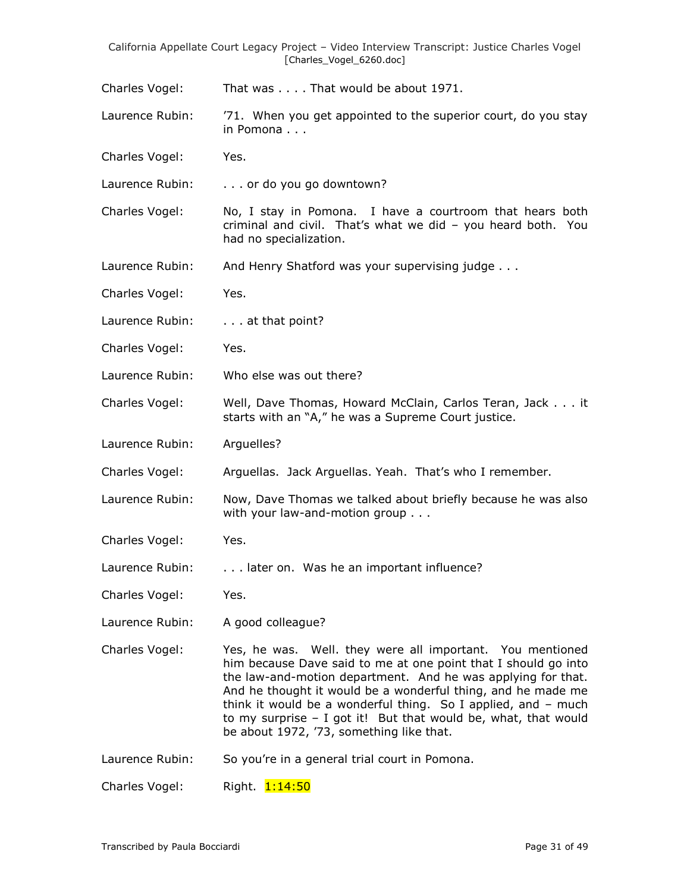Charles Vogel: That was . . . . That would be about 1971.

- Laurence Rubin: '71. When you get appointed to the superior court, do you stay in Pomona . . .
- Charles Vogel: Yes.

Laurence Rubin: . . . . or do you go downtown?

- Charles Vogel: No, I stay in Pomona. I have a courtroom that hears both criminal and civil. That's what we did – you heard both. You had no specialization.
- Laurence Rubin: And Henry Shatford was your supervising judge . . .
- Charles Vogel: Yes.
- Laurence Rubin: . . . . at that point?
- Charles Vogel: Yes.
- Laurence Rubin: Who else was out there?
- Charles Vogel: Well, Dave Thomas, Howard McClain, Carlos Teran, Jack . . . it starts with an "A," he was a Supreme Court justice.
- Laurence Rubin: Arguelles?
- Charles Vogel: Arguellas. Jack Arguellas. Yeah. That's who I remember.
- Laurence Rubin: Now, Dave Thomas we talked about briefly because he was also with your law-and-motion group . . .
- Charles Vogel: Yes.
- Laurence Rubin: . . . . later on. Was he an important influence?
- Charles Vogel: Yes.
- Laurence Rubin: A good colleague?
- Charles Vogel: Yes, he was. Well. they were all important. You mentioned him because Dave said to me at one point that I should go into the law-and-motion department. And he was applying for that. And he thought it would be a wonderful thing, and he made me think it would be a wonderful thing. So I applied, and – much to my surprise – I got it! But that would be, what, that would be about 1972, '73, something like that.
- Laurence Rubin: So you're in a general trial court in Pomona.

Charles Vogel: Right. 1:14:50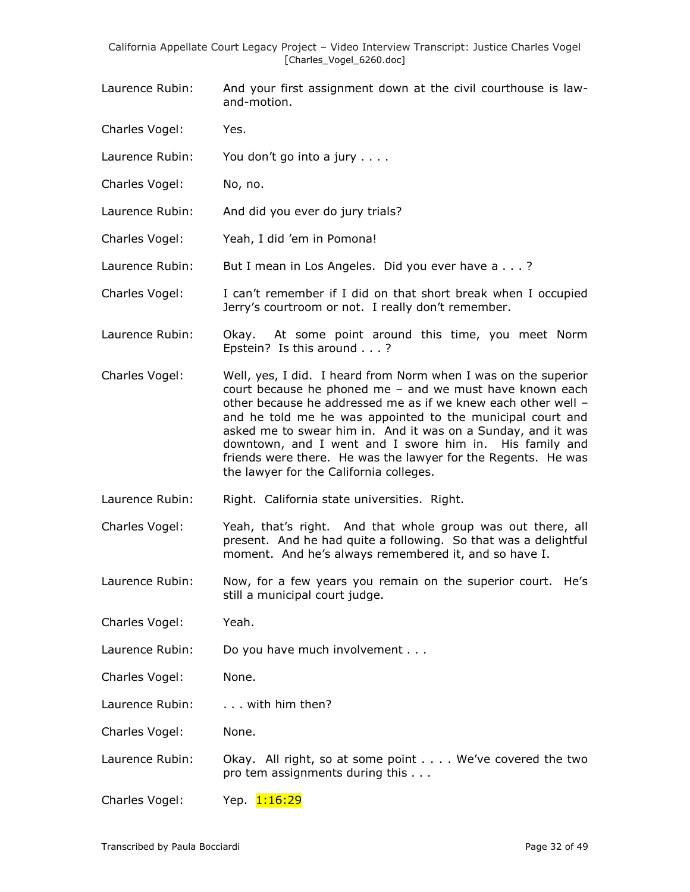- Laurence Rubin: And your first assignment down at the civil courthouse is lawand-motion.
- Charles Vogel: Yes.
- Laurence Rubin: You don't go into a jury . . . .
- Charles Vogel: No, no.
- Laurence Rubin: And did you ever do jury trials?
- Charles Vogel: Yeah, I did 'em in Pomona!
- Laurence Rubin: But I mean in Los Angeles. Did you ever have a . . .?
- Charles Vogel: I can't remember if I did on that short break when I occupied Jerry's courtroom or not. I really don't remember.
- Laurence Rubin: Okay. At some point around this time, you meet Norm Epstein? Is this around . . . ?
- Charles Vogel: Well, yes, I did. I heard from Norm when I was on the superior court because he phoned me – and we must have known each other because he addressed me as if we knew each other well – and he told me he was appointed to the municipal court and asked me to swear him in. And it was on a Sunday, and it was downtown, and I went and I swore him in. His family and friends were there. He was the lawyer for the Regents. He was the lawyer for the California colleges.
- Laurence Rubin: Right. California state universities. Right.
- Charles Vogel: Yeah, that's right. And that whole group was out there, all present. And he had quite a following. So that was a delightful moment. And he's always remembered it, and so have I.
- Laurence Rubin: Now, for a few years you remain on the superior court. He's still a municipal court judge.
- Charles Vogel: Yeah.
- Laurence Rubin: Do you have much involvement . . .
- Charles Vogel: None.
- Laurence Rubin: . . . . with him then?

Charles Vogel: None.

- Laurence Rubin: Okay. All right, so at some point . . . . We've covered the two pro tem assignments during this . . .
- Charles Vogel: Yep. 1:16:29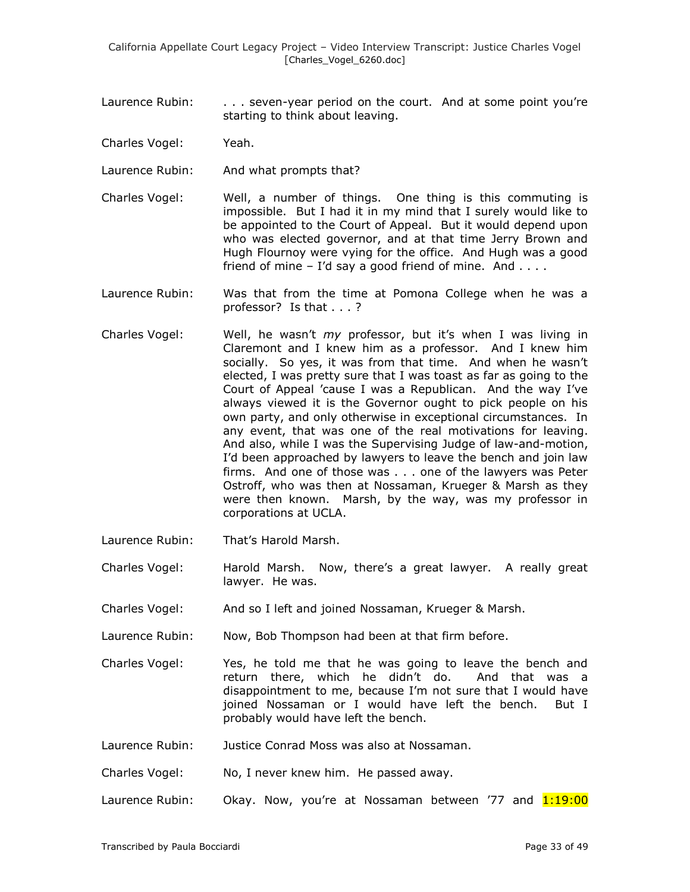- Laurence Rubin: . . . . seven-year period on the court. And at some point you're starting to think about leaving.
- Charles Vogel: Yeah.
- Laurence Rubin: And what prompts that?
- Charles Vogel: Well, a number of things. One thing is this commuting is impossible. But I had it in my mind that I surely would like to be appointed to the Court of Appeal. But it would depend upon who was elected governor, and at that time Jerry Brown and Hugh Flournoy were vying for the office. And Hugh was a good friend of mine  $-$  I'd say a good friend of mine. And  $\dots$
- Laurence Rubin: Was that from the time at Pomona College when he was a professor? Is that . . . ?
- Charles Vogel: Well, he wasn't *my* professor, but it's when I was living in Claremont and I knew him as a professor. And I knew him socially. So yes, it was from that time. And when he wasn't elected, I was pretty sure that I was toast as far as going to the Court of Appeal 'cause I was a Republican. And the way I've always viewed it is the Governor ought to pick people on his own party, and only otherwise in exceptional circumstances. In any event, that was one of the real motivations for leaving. And also, while I was the Supervising Judge of law-and-motion, I'd been approached by lawyers to leave the bench and join law firms. And one of those was . . . one of the lawyers was Peter Ostroff, who was then at Nossaman, Krueger & Marsh as they were then known. Marsh, by the way, was my professor in corporations at UCLA.
- Laurence Rubin: That's Harold Marsh.
- Charles Vogel: Harold Marsh. Now, there's a great lawyer. A really great lawyer. He was.
- Charles Vogel: And so I left and joined Nossaman, Krueger & Marsh.
- Laurence Rubin: Now, Bob Thompson had been at that firm before.
- Charles Vogel: Yes, he told me that he was going to leave the bench and return there, which he didn't do. And that was a disappointment to me, because I'm not sure that I would have joined Nossaman or I would have left the bench. But I probably would have left the bench.
- Laurence Rubin: Justice Conrad Moss was also at Nossaman.
- Charles Vogel: No, I never knew him. He passed away.
- Laurence Rubin: Okay. Now, you're at Nossaman between '77 and 1:19:00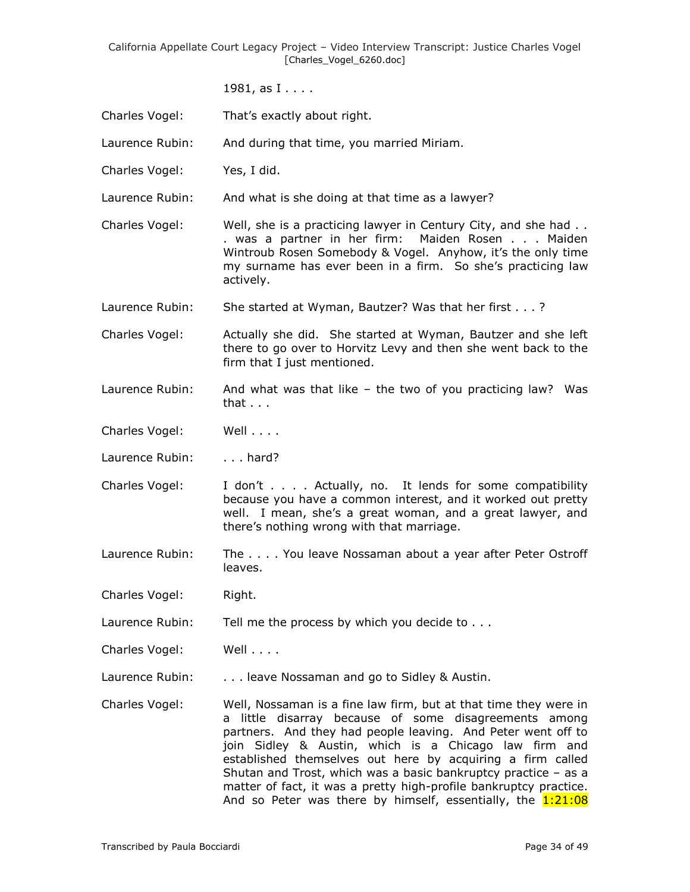1981, as I . . . .

- Charles Vogel: That's exactly about right.
- Laurence Rubin: And during that time, you married Miriam.
- Charles Vogel: Yes, I did.
- Laurence Rubin: And what is she doing at that time as a lawyer?
- Charles Vogel: Well, she is a practicing lawyer in Century City, and she had . . . was a partner in her firm: Maiden Rosen . . . Maiden Wintroub Rosen Somebody & Vogel. Anyhow, it's the only time my surname has ever been in a firm. So she's practicing law actively.
- Laurence Rubin: She started at Wyman, Bautzer? Was that her first . . . ?
- Charles Vogel: Actually she did. She started at Wyman, Bautzer and she left there to go over to Horvitz Levy and then she went back to the firm that I just mentioned.
- Laurence Rubin: And what was that like the two of you practicing law? Was that . . .
- Charles Vogel: Well . . . .
- Laurence Rubin: . . . . hard?
- Charles Vogel: I don't . . . . Actually, no. It lends for some compatibility because you have a common interest, and it worked out pretty well. I mean, she's a great woman, and a great lawyer, and there's nothing wrong with that marriage.
- Laurence Rubin: The . . . . You leave Nossaman about a year after Peter Ostroff leaves.
- Charles Vogel: Right.
- Laurence Rubin: Tell me the process by which you decide to . . .
- Charles Vogel: Well . . . .
- Laurence Rubin: . . . . leave Nossaman and go to Sidley & Austin.
- Charles Vogel: Well, Nossaman is a fine law firm, but at that time they were in a little disarray because of some disagreements among partners. And they had people leaving. And Peter went off to join Sidley & Austin, which is a Chicago law firm and established themselves out here by acquiring a firm called Shutan and Trost, which was a basic bankruptcy practice – as a matter of fact, it was a pretty high-profile bankruptcy practice. And so Peter was there by himself, essentially, the 1:21:08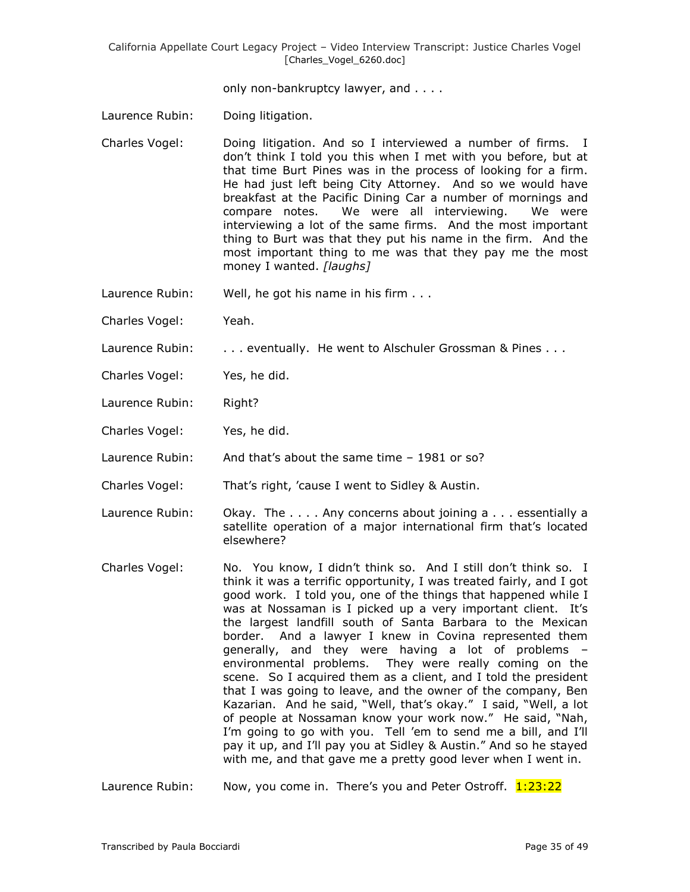only non-bankruptcy lawyer, and . . . .

- Laurence Rubin: Doing litigation.
- Charles Vogel: Doing litigation. And so I interviewed a number of firms. I don't think I told you this when I met with you before, but at that time Burt Pines was in the process of looking for a firm. He had just left being City Attorney. And so we would have breakfast at the Pacific Dining Car a number of mornings and compare notes. We were all interviewing. We were interviewing a lot of the same firms. And the most important thing to Burt was that they put his name in the firm. And the most important thing to me was that they pay me the most money I wanted. *[laughs]*
- Laurence Rubin: Well, he got his name in his firm . . .
- Charles Vogel: Yeah.
- Laurence Rubin: . . . . eventually. He went to Alschuler Grossman & Pines . . .
- Charles Vogel: Yes, he did.
- Laurence Rubin: Right?
- Charles Vogel: Yes, he did.
- Laurence Rubin: And that's about the same time 1981 or so?
- Charles Vogel: That's right, 'cause I went to Sidley & Austin.
- Laurence Rubin: Okay. The .... Any concerns about joining a ... essentially a satellite operation of a major international firm that's located elsewhere?
- Charles Vogel: No. You know, I didn't think so. And I still don't think so. I think it was a terrific opportunity, I was treated fairly, and I got good work. I told you, one of the things that happened while I was at Nossaman is I picked up a very important client. It's the largest landfill south of Santa Barbara to the Mexican border. And a lawyer I knew in Covina represented them generally, and they were having a lot of problems – environmental problems. They were really coming on the scene. So I acquired them as a client, and I told the president that I was going to leave, and the owner of the company, Ben Kazarian. And he said, "Well, that's okay." I said, "Well, a lot of people at Nossaman know your work now." He said, "Nah, I'm going to go with you. Tell 'em to send me a bill, and I'll pay it up, and I'll pay you at Sidley & Austin." And so he stayed with me, and that gave me a pretty good lever when I went in.

Laurence Rubin: Now, you come in. There's you and Peter Ostroff. 1:23:22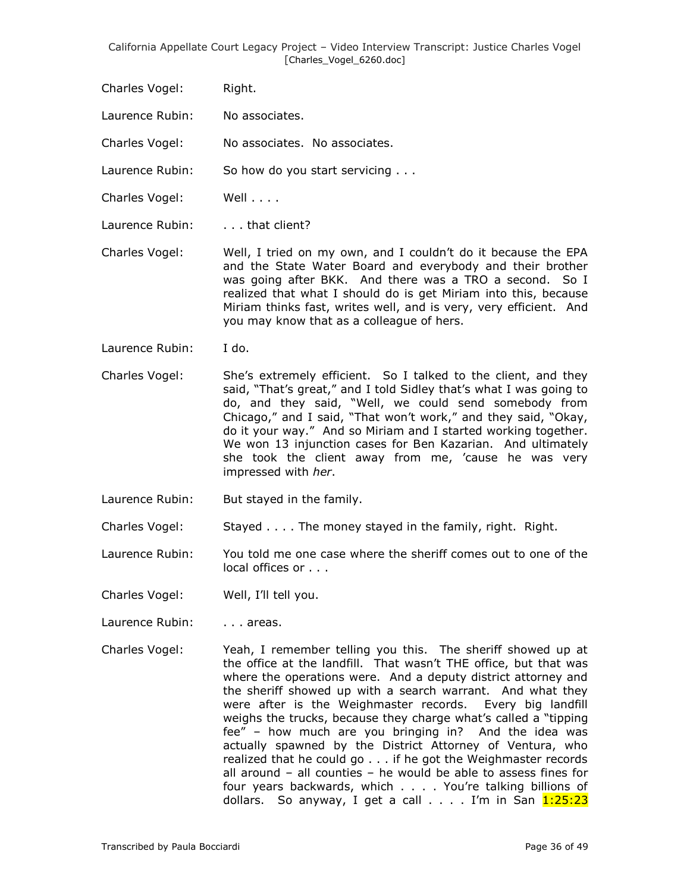- Charles Vogel: Right.
- Laurence Rubin: No associates.

Charles Vogel: No associates. No associates.

- Laurence Rubin: So how do you start servicing . . .
- Charles Vogel: Well . . . .
- Laurence Rubin: . . . . that client?
- Charles Vogel: Well, I tried on my own, and I couldn't do it because the EPA and the State Water Board and everybody and their brother was going after BKK. And there was a TRO a second. So I realized that what I should do is get Miriam into this, because Miriam thinks fast, writes well, and is very, very efficient. And you may know that as a colleague of hers.
- Laurence Rubin: I do.
- Charles Vogel: She's extremely efficient. So I talked to the client, and they said, "That's great," and I told Sidley that's what I was going to do, and they said, "Well, we could send somebody from Chicago," and I said, "That won't work," and they said, "Okay, do it your way." And so Miriam and I started working together. We won 13 injunction cases for Ben Kazarian. And ultimately she took the client away from me, 'cause he was very impressed with *her*.
- Laurence Rubin: But stayed in the family.
- Charles Vogel: Stayed . . . . The money stayed in the family, right. Right.
- Laurence Rubin: You told me one case where the sheriff comes out to one of the local offices or . . .
- Charles Vogel: Well, I'll tell you.
- Laurence Rubin: . . . . areas.
- Charles Vogel: Yeah, I remember telling you this. The sheriff showed up at the office at the landfill. That wasn't THE office, but that was where the operations were. And a deputy district attorney and the sheriff showed up with a search warrant. And what they were after is the Weighmaster records. Every big landfill weighs the trucks, because they charge what's called a "tipping fee" – how much are you bringing in? And the idea was actually spawned by the District Attorney of Ventura, who realized that he could go . . . if he got the Weighmaster records all around – all counties – he would be able to assess fines for four years backwards, which . . . . You're talking billions of dollars. So anyway, I get a call  $\dots$ . I'm in San  $1:25:23$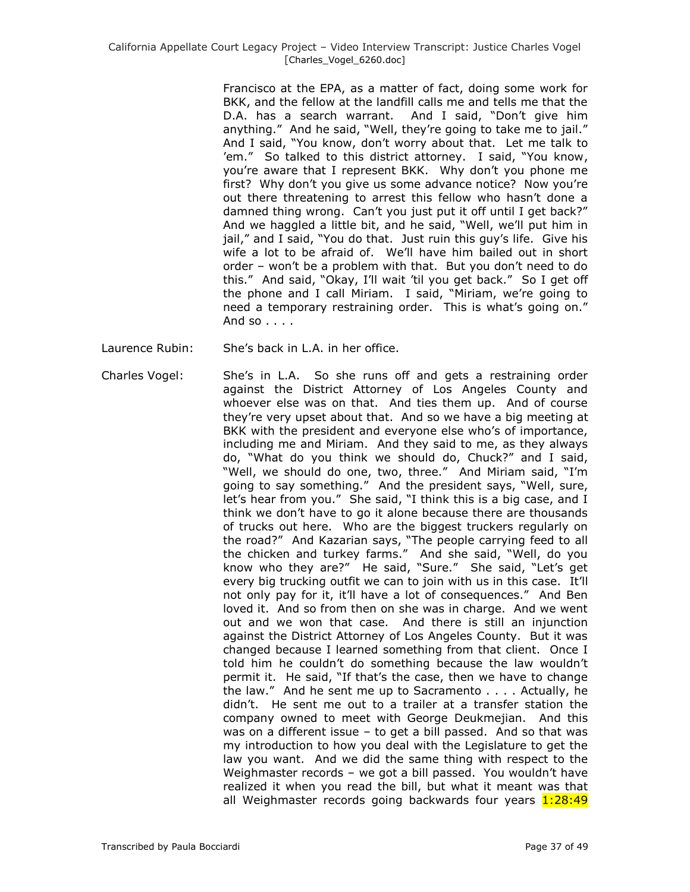Francisco at the EPA, as a matter of fact, doing some work for BKK, and the fellow at the landfill calls me and tells me that the D.A. has a search warrant. And I said, "Don't give him anything." And he said, "Well, they're going to take me to jail." And I said, "You know, don't worry about that. Let me talk to 'em." So talked to this district attorney. I said, "You know, you're aware that I represent BKK. Why don't you phone me first? Why don't you give us some advance notice? Now you're out there threatening to arrest this fellow who hasn't done a damned thing wrong. Can't you just put it off until I get back?" And we haggled a little bit, and he said, "Well, we'll put him in jail," and I said, "You do that. Just ruin this guy's life. Give his wife a lot to be afraid of. We'll have him bailed out in short order – won't be a problem with that. But you don't need to do this." And said, "Okay, I'll wait 'til you get back." So I get off the phone and I call Miriam. I said, "Miriam, we're going to need a temporary restraining order. This is what's going on." And so  $\ldots$ 

- Laurence Rubin: She's back in L.A. in her office.
- Charles Vogel: She's in L.A. So she runs off and gets a restraining order against the District Attorney of Los Angeles County and whoever else was on that. And ties them up. And of course they're very upset about that. And so we have a big meeting at BKK with the president and everyone else who's of importance, including me and Miriam. And they said to me, as they always do, "What do you think we should do, Chuck?" and I said, "Well, we should do one, two, three." And Miriam said, "I'm going to say something." And the president says, "Well, sure, let's hear from you." She said, "I think this is a big case, and I think we don't have to go it alone because there are thousands of trucks out here. Who are the biggest truckers regularly on the road?" And Kazarian says, "The people carrying feed to all the chicken and turkey farms." And she said, "Well, do you know who they are?" He said, "Sure." She said, "Let's get every big trucking outfit we can to join with us in this case. It'll not only pay for it, it'll have a lot of consequences." And Ben loved it. And so from then on she was in charge. And we went out and we won that case. And there is still an injunction against the District Attorney of Los Angeles County. But it was changed because I learned something from that client. Once I told him he couldn't do something because the law wouldn't permit it. He said, "If that's the case, then we have to change the law." And he sent me up to Sacramento . . . . Actually, he didn't. He sent me out to a trailer at a transfer station the company owned to meet with George Deukmejian. And this was on a different issue – to get a bill passed. And so that was my introduction to how you deal with the Legislature to get the law you want. And we did the same thing with respect to the Weighmaster records – we got a bill passed. You wouldn't have realized it when you read the bill, but what it meant was that all Weighmaster records going backwards four years 1:28:49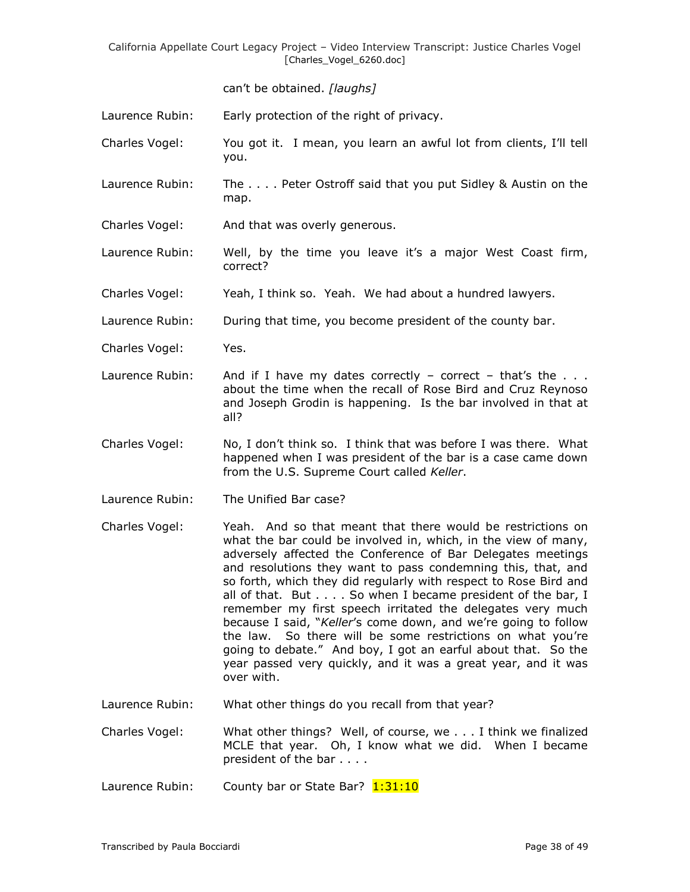can't be obtained. *[laughs]*

Laurence Rubin: Early protection of the right of privacy.

- Charles Vogel: You got it. I mean, you learn an awful lot from clients, I'll tell you.
- Laurence Rubin: The . . . . Peter Ostroff said that you put Sidley & Austin on the map.
- Charles Vogel: And that was overly generous.
- Laurence Rubin: Well, by the time you leave it's a major West Coast firm, correct?
- Charles Vogel: Yeah, I think so. Yeah. We had about a hundred lawyers.

Laurence Rubin: During that time, you become president of the county bar.

- Charles Vogel: Yes.
- Laurence Rubin: And if I have my dates correctly correct that's the  $\dots$ about the time when the recall of Rose Bird and Cruz Reynoso and Joseph Grodin is happening. Is the bar involved in that at all?
- Charles Vogel: No, I don't think so. I think that was before I was there. What happened when I was president of the bar is a case came down from the U.S. Supreme Court called *Keller*.
- Laurence Rubin: The Unified Bar case?
- Charles Vogel: Yeah. And so that meant that there would be restrictions on what the bar could be involved in, which, in the view of many, adversely affected the Conference of Bar Delegates meetings and resolutions they want to pass condemning this, that, and so forth, which they did regularly with respect to Rose Bird and all of that. But . . . . So when I became president of the bar, I remember my first speech irritated the delegates very much because I said, "*Keller*'s come down, and we're going to follow the law. So there will be some restrictions on what you're going to debate." And boy, I got an earful about that. So the year passed very quickly, and it was a great year, and it was over with.
- Laurence Rubin: What other things do you recall from that year?
- Charles Vogel: What other things? Well, of course, we . . . I think we finalized MCLE that year. Oh, I know what we did. When I became president of the bar . . . .
- Laurence Rubin: County bar or State Bar? 1:31:10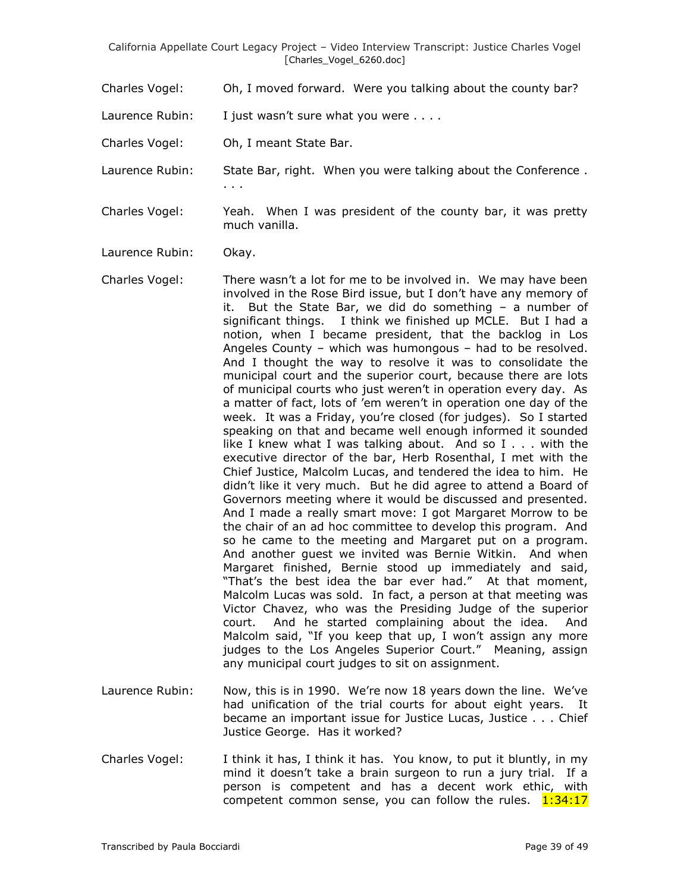Charles Vogel: Oh, I moved forward. Were you talking about the county bar?

Laurence Rubin: I just wasn't sure what you were ....

- Charles Vogel: Oh, I meant State Bar.
- Laurence Rubin: State Bar, right. When you were talking about the Conference . . . .
- Charles Vogel: Yeah. When I was president of the county bar, it was pretty much vanilla.
- Laurence Rubin: Okay.
- Charles Vogel: There wasn't a lot for me to be involved in. We may have been involved in the Rose Bird issue, but I don't have any memory of it. But the State Bar, we did do something – a number of significant things. I think we finished up MCLE. But I had a notion, when I became president, that the backlog in Los Angeles County – which was humongous – had to be resolved. And I thought the way to resolve it was to consolidate the municipal court and the superior court, because there are lots of municipal courts who just weren't in operation every day. As a matter of fact, lots of 'em weren't in operation one day of the week. It was a Friday, you're closed (for judges). So I started speaking on that and became well enough informed it sounded like I knew what I was talking about. And so I . . . with the executive director of the bar, Herb Rosenthal, I met with the Chief Justice, Malcolm Lucas, and tendered the idea to him. He didn't like it very much. But he did agree to attend a Board of Governors meeting where it would be discussed and presented. And I made a really smart move: I got Margaret Morrow to be the chair of an ad hoc committee to develop this program. And so he came to the meeting and Margaret put on a program. And another guest we invited was Bernie Witkin. And when Margaret finished, Bernie stood up immediately and said, "That's the best idea the bar ever had." At that moment, Malcolm Lucas was sold. In fact, a person at that meeting was Victor Chavez, who was the Presiding Judge of the superior court. And he started complaining about the idea. And Malcolm said, "If you keep that up, I won't assign any more judges to the Los Angeles Superior Court." Meaning, assign any municipal court judges to sit on assignment.
- Laurence Rubin: Now, this is in 1990. We're now 18 years down the line. We've had unification of the trial courts for about eight years. It became an important issue for Justice Lucas, Justice . . . Chief Justice George. Has it worked?
- Charles Vogel: I think it has, I think it has. You know, to put it bluntly, in my mind it doesn't take a brain surgeon to run a jury trial. If a person is competent and has a decent work ethic, with competent common sense, you can follow the rules.  $1:34:17$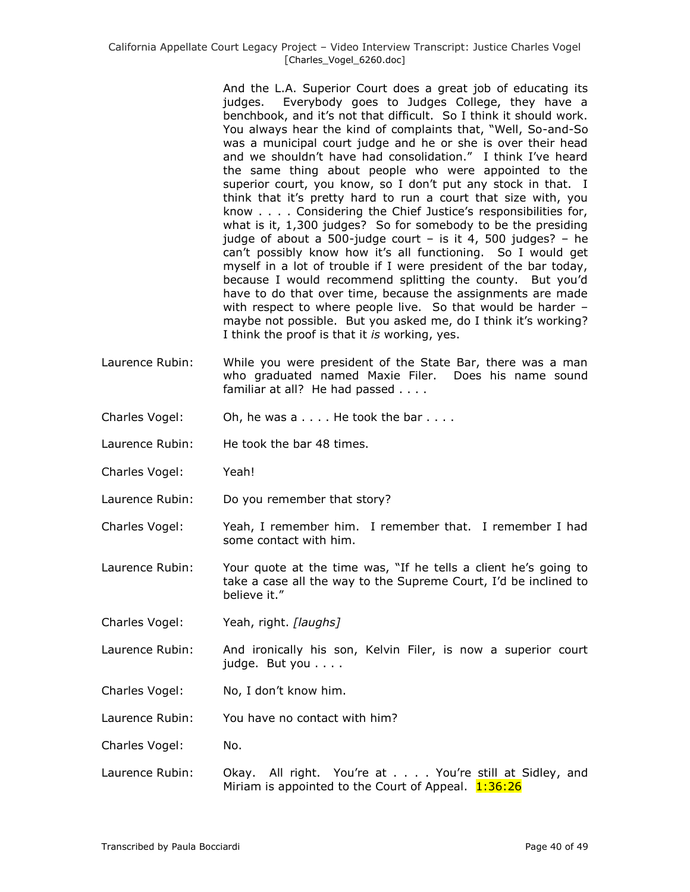And the L.A. Superior Court does a great job of educating its judges. Everybody goes to Judges College, they have a benchbook, and it's not that difficult. So I think it should work. You always hear the kind of complaints that, "Well, So-and-So was a municipal court judge and he or she is over their head and we shouldn't have had consolidation." I think I've heard the same thing about people who were appointed to the superior court, you know, so I don't put any stock in that. I think that it's pretty hard to run a court that size with, you know . . . . Considering the Chief Justice's responsibilities for, what is it, 1,300 judges? So for somebody to be the presiding judge of about a 500-judge court – is it 4, 500 judges? – he can't possibly know how it's all functioning. So I would get myself in a lot of trouble if I were president of the bar today, because I would recommend splitting the county. But you'd have to do that over time, because the assignments are made with respect to where people live. So that would be harder – maybe not possible. But you asked me, do I think it's working? I think the proof is that it *is* working, yes.

- Laurence Rubin: While you were president of the State Bar, there was a man who graduated named Maxie Filer. Does his name sound familiar at all? He had passed . . . .
- Charles Vogel: Oh, he was a . . . . He took the bar . . . .
- Laurence Rubin: He took the bar 48 times.
- Charles Vogel: Yeah!
- Laurence Rubin: Do you remember that story?
- Charles Vogel: Yeah, I remember him. I remember that. I remember I had some contact with him.
- Laurence Rubin: Your quote at the time was, "If he tells a client he's going to take a case all the way to the Supreme Court, I'd be inclined to believe it."
- Charles Vogel: Yeah, right. *[laughs]*
- Laurence Rubin: And ironically his son, Kelvin Filer, is now a superior court judge. But you . . . .
- Charles Vogel: No, I don't know him.
- Laurence Rubin: You have no contact with him?
- Charles Vogel: No.
- Laurence Rubin: Okay. All right. You're at . . . . You're still at Sidley, and Miriam is appointed to the Court of Appeal.  $1:36:26$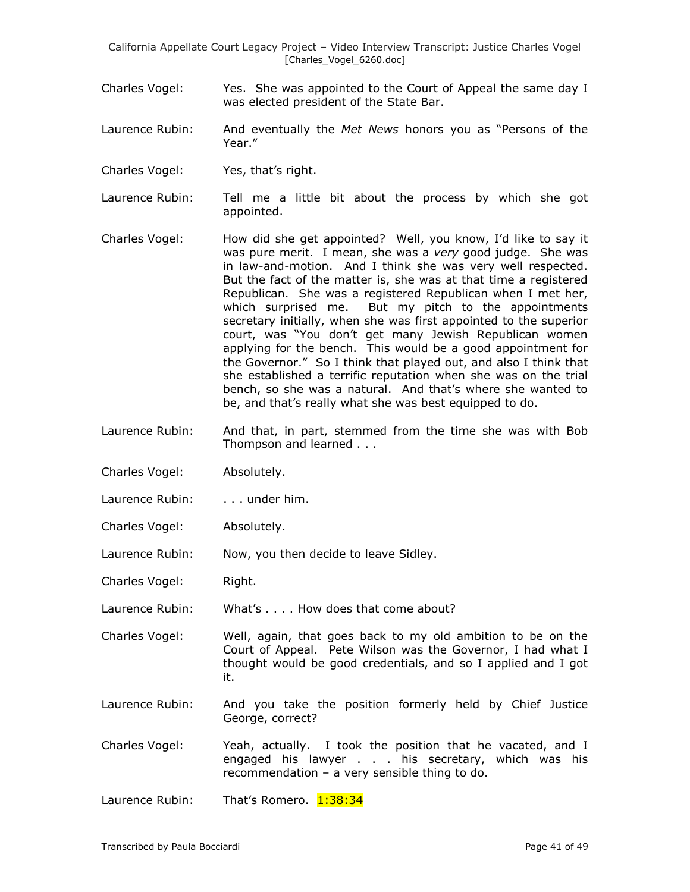- Charles Vogel: Yes. She was appointed to the Court of Appeal the same day I was elected president of the State Bar.
- Laurence Rubin: And eventually the *Met News* honors you as "Persons of the Year."
- Charles Vogel: Yes, that's right.
- Laurence Rubin: Tell me a little bit about the process by which she got appointed.
- Charles Vogel: How did she get appointed? Well, you know, I'd like to say it was pure merit. I mean, she was a *very* good judge. She was in law-and-motion. And I think she was very well respected. But the fact of the matter is, she was at that time a registered Republican. She was a registered Republican when I met her, which surprised me. But my pitch to the appointments secretary initially, when she was first appointed to the superior court, was "You don't get many Jewish Republican women applying for the bench. This would be a good appointment for the Governor." So I think that played out, and also I think that she established a terrific reputation when she was on the trial bench, so she was a natural. And that's where she wanted to be, and that's really what she was best equipped to do.
- Laurence Rubin: And that, in part, stemmed from the time she was with Bob Thompson and learned . . .
- Charles Vogel: Absolutely.
- Laurence Rubin: . . . . under him.
- Charles Vogel: Absolutely.
- Laurence Rubin: Now, you then decide to leave Sidley.
- Charles Vogel: Right.
- Laurence Rubin: What's . . . . How does that come about?
- Charles Vogel: Well, again, that goes back to my old ambition to be on the Court of Appeal. Pete Wilson was the Governor, I had what I thought would be good credentials, and so I applied and I got it.
- Laurence Rubin: And you take the position formerly held by Chief Justice George, correct?
- Charles Vogel: Yeah, actually. I took the position that he vacated, and I engaged his lawyer . . . his secretary, which was his recommendation – a very sensible thing to do.
- Laurence Rubin: That's Romero. 1:38:34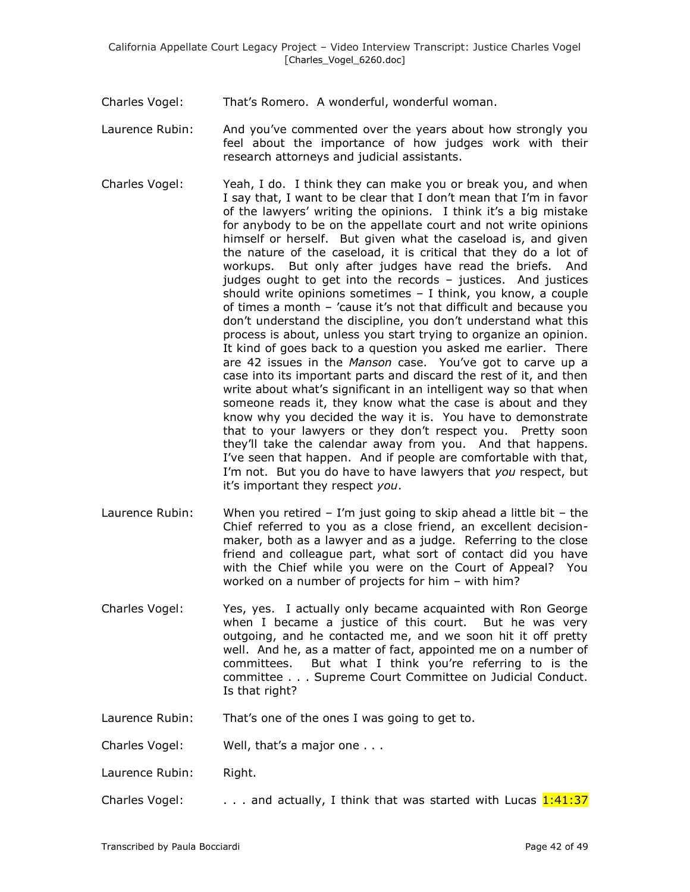- Charles Vogel: That's Romero. A wonderful, wonderful woman.
- Laurence Rubin: And you've commented over the years about how strongly you feel about the importance of how judges work with their research attorneys and judicial assistants.
- Charles Vogel: Yeah, I do. I think they can make you or break you, and when I say that, I want to be clear that I don't mean that I'm in favor of the lawyers' writing the opinions. I think it's a big mistake for anybody to be on the appellate court and not write opinions himself or herself. But given what the caseload is, and given the nature of the caseload, it is critical that they do a lot of workups. But only after judges have read the briefs. And judges ought to get into the records – justices. And justices should write opinions sometimes – I think, you know, a couple of times a month – 'cause it's not that difficult and because you don't understand the discipline, you don't understand what this process is about, unless you start trying to organize an opinion. It kind of goes back to a question you asked me earlier. There are 42 issues in the *Manson* case. You've got to carve up a case into its important parts and discard the rest of it, and then write about what's significant in an intelligent way so that when someone reads it, they know what the case is about and they know why you decided the way it is. You have to demonstrate that to your lawyers or they don't respect you. Pretty soon they'll take the calendar away from you. And that happens. I've seen that happen. And if people are comfortable with that, I'm not. But you do have to have lawyers that *you* respect, but it's important they respect *you*.
- Laurence Rubin: When you retired  $-$  I'm just going to skip ahead a little bit  $-$  the Chief referred to you as a close friend, an excellent decisionmaker, both as a lawyer and as a judge. Referring to the close friend and colleague part, what sort of contact did you have with the Chief while you were on the Court of Appeal? You worked on a number of projects for him – with him?
- Charles Vogel: Yes, yes. I actually only became acquainted with Ron George when I became a justice of this court. But he was very outgoing, and he contacted me, and we soon hit it off pretty well. And he, as a matter of fact, appointed me on a number of committees. But what I think you're referring to is the committee . . . Supreme Court Committee on Judicial Conduct. Is that right?
- Laurence Rubin: That's one of the ones I was going to get to.
- Charles Vogel: Well, that's a major one . . .
- Laurence Rubin: Right.
- Charles Vogel:  $\ldots$  and actually, I think that was started with Lucas  $1:41:37$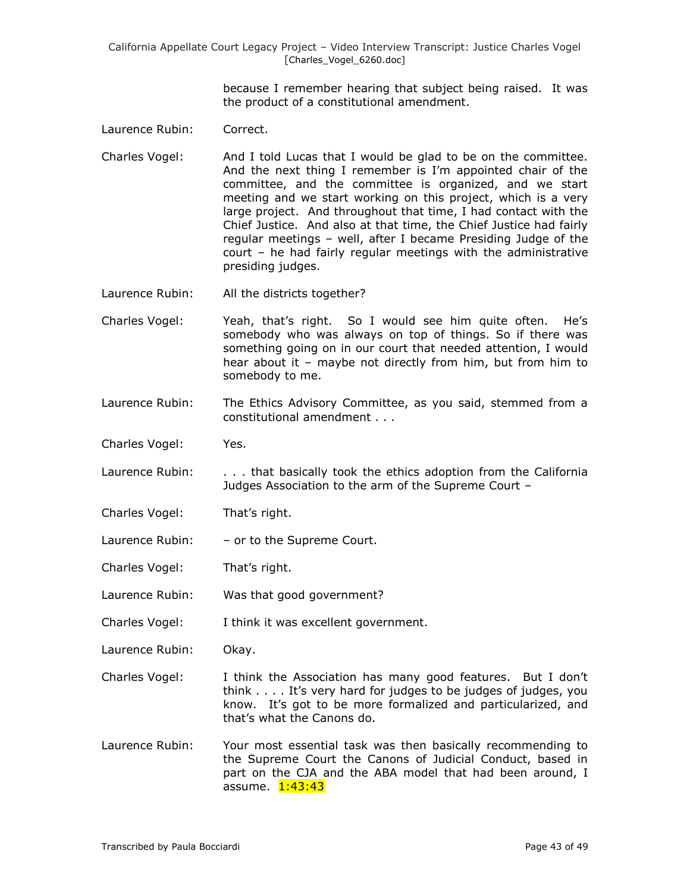> because I remember hearing that subject being raised. It was the product of a constitutional amendment.

- Laurence Rubin: Correct.
- Charles Vogel: And I told Lucas that I would be glad to be on the committee. And the next thing I remember is I'm appointed chair of the committee, and the committee is organized, and we start meeting and we start working on this project, which is a very large project. And throughout that time, I had contact with the Chief Justice. And also at that time, the Chief Justice had fairly regular meetings – well, after I became Presiding Judge of the court – he had fairly regular meetings with the administrative presiding judges.
- Laurence Rubin: All the districts together?
- Charles Vogel: Yeah, that's right. So I would see him quite often. He's somebody who was always on top of things. So if there was something going on in our court that needed attention, I would hear about it – maybe not directly from him, but from him to somebody to me.
- Laurence Rubin: The Ethics Advisory Committee, as you said, stemmed from a constitutional amendment . . .
- Charles Vogel: Yes.
- Laurence Rubin: . . . . that basically took the ethics adoption from the California Judges Association to the arm of the Supreme Court –
- Charles Vogel: That's right.
- Laurence Rubin: or to the Supreme Court.
- Charles Vogel: That's right.
- Laurence Rubin: Was that good government?
- Charles Vogel: I think it was excellent government.
- Laurence Rubin: Okay.
- Charles Vogel: I think the Association has many good features. But I don't think . . . . It's very hard for judges to be judges of judges, you know. It's got to be more formalized and particularized, and that's what the Canons do.
- Laurence Rubin: Your most essential task was then basically recommending to the Supreme Court the Canons of Judicial Conduct, based in part on the CJA and the ABA model that had been around, I assume. 1:43:43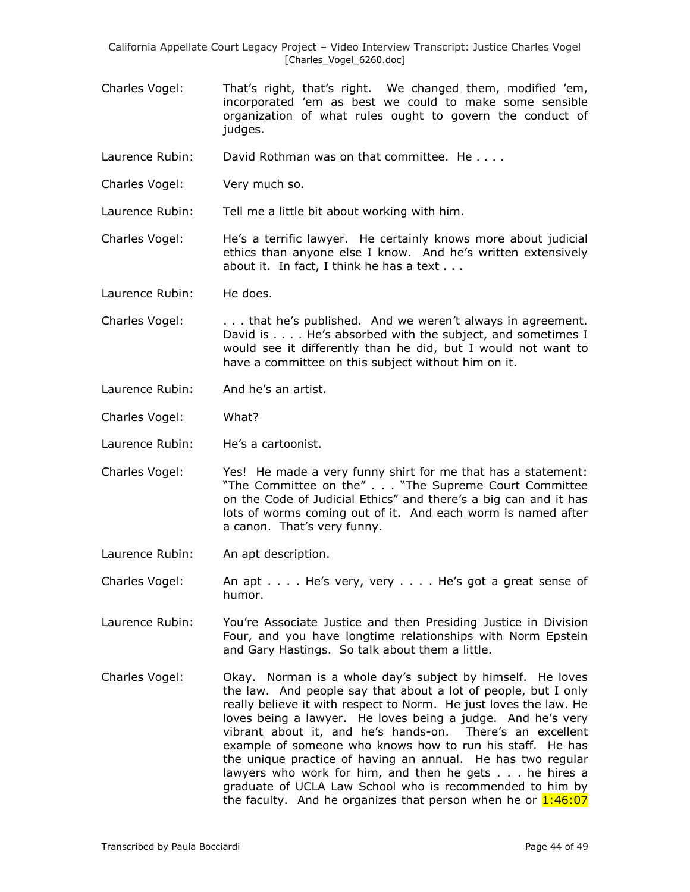- Charles Vogel: That's right, that's right. We changed them, modified 'em, incorporated 'em as best we could to make some sensible organization of what rules ought to govern the conduct of judges.
- Laurence Rubin: David Rothman was on that committee. He . . . .
- Charles Vogel: Very much so.

Laurence Rubin: Tell me a little bit about working with him.

Charles Vogel: He's a terrific lawyer. He certainly knows more about judicial ethics than anyone else I know. And he's written extensively about it. In fact, I think he has a text . . .

Laurence Rubin: He does.

- Charles Vogel: . . . that he's published. And we weren't always in agreement. David is . . . . He's absorbed with the subject, and sometimes I would see it differently than he did, but I would not want to have a committee on this subject without him on it.
- Laurence Rubin: And he's an artist.
- Charles Vogel: What?
- Laurence Rubin: He's a cartoonist.
- Charles Vogel: Yes! He made a very funny shirt for me that has a statement: "The Committee on the" . . . "The Supreme Court Committee on the Code of Judicial Ethics" and there's a big can and it has lots of worms coming out of it. And each worm is named after a canon. That's very funny.
- Laurence Rubin: An apt description.

Charles Vogel: An apt . . . . He's very, very . . . . He's got a great sense of humor.

Laurence Rubin: You're Associate Justice and then Presiding Justice in Division Four, and you have longtime relationships with Norm Epstein and Gary Hastings. So talk about them a little.

Charles Vogel: Okay. Norman is a whole day's subject by himself. He loves the law. And people say that about a lot of people, but I only really believe it with respect to Norm. He just loves the law. He loves being a lawyer. He loves being a judge. And he's very vibrant about it, and he's hands-on. There's an excellent example of someone who knows how to run his staff. He has the unique practice of having an annual. He has two regular lawyers who work for him, and then he gets . . . he hires a graduate of UCLA Law School who is recommended to him by the faculty. And he organizes that person when he or  $1:46:07$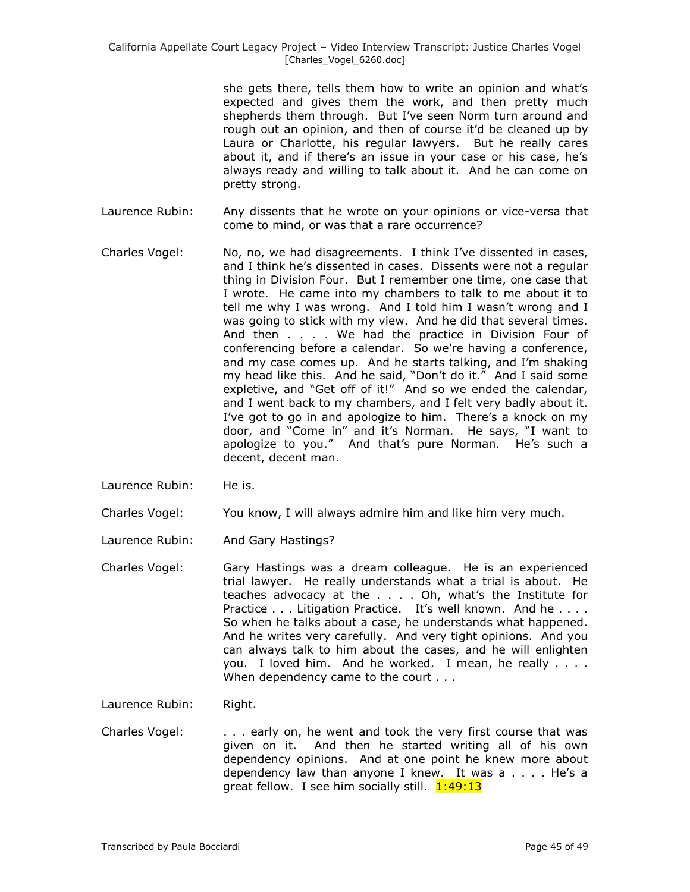she gets there, tells them how to write an opinion and what's expected and gives them the work, and then pretty much shepherds them through. But I've seen Norm turn around and rough out an opinion, and then of course it'd be cleaned up by Laura or Charlotte, his regular lawyers. But he really cares about it, and if there's an issue in your case or his case, he's always ready and willing to talk about it. And he can come on pretty strong.

- Laurence Rubin: Any dissents that he wrote on your opinions or vice-versa that come to mind, or was that a rare occurrence?
- Charles Vogel: No, no, we had disagreements. I think I've dissented in cases, and I think he's dissented in cases. Dissents were not a regular thing in Division Four. But I remember one time, one case that I wrote. He came into my chambers to talk to me about it to tell me why I was wrong. And I told him I wasn't wrong and I was going to stick with my view. And he did that several times. And then . . . . We had the practice in Division Four of conferencing before a calendar. So we're having a conference, and my case comes up. And he starts talking, and I'm shaking my head like this. And he said, "Don't do it." And I said some expletive, and "Get off of it!" And so we ended the calendar, and I went back to my chambers, and I felt very badly about it. I've got to go in and apologize to him. There's a knock on my door, and "Come in" and it's Norman. He says, "I want to apologize to you." And that's pure Norman. He's such a decent, decent man.
- Laurence Rubin: He is.
- Charles Vogel: You know, I will always admire him and like him very much.
- Laurence Rubin: And Gary Hastings?
- Charles Vogel: Gary Hastings was a dream colleague. He is an experienced trial lawyer. He really understands what a trial is about. He teaches advocacy at the . . . . Oh, what's the Institute for Practice . . . Litigation Practice. It's well known. And he . . . . So when he talks about a case, he understands what happened. And he writes very carefully. And very tight opinions. And you can always talk to him about the cases, and he will enlighten you. I loved him. And he worked. I mean, he really . . . . When dependency came to the court . . .

Laurence Rubin: Right.

Charles Vogel: . . . early on, he went and took the very first course that was given on it. And then he started writing all of his own dependency opinions. And at one point he knew more about dependency law than anyone I knew. It was a . . . . He's a great fellow. I see him socially still. 1:49:13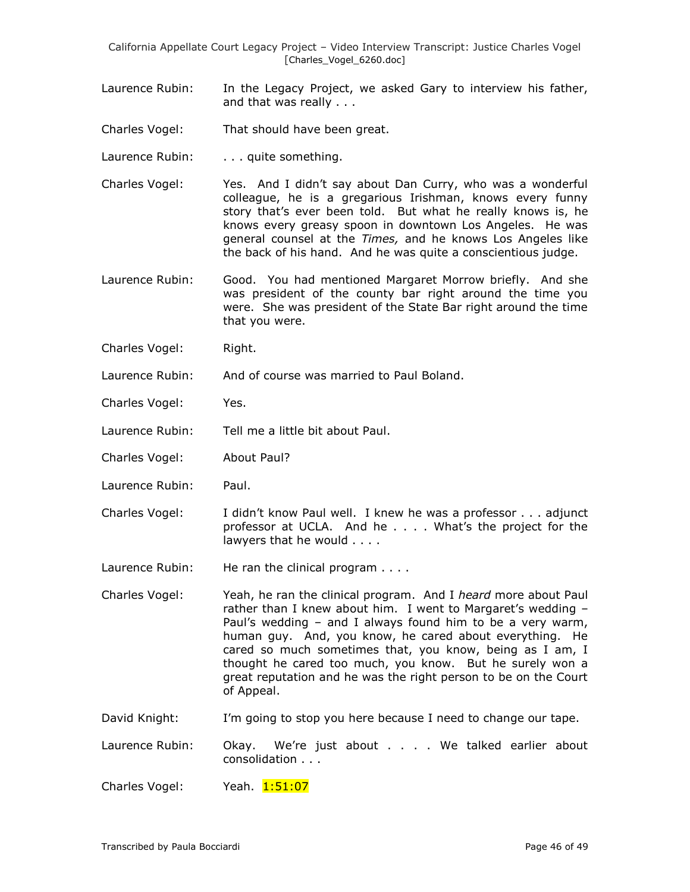- Laurence Rubin: In the Legacy Project, we asked Gary to interview his father, and that was really . . .
- Charles Vogel: That should have been great.
- Laurence Rubin: . . . . quite something.
- Charles Vogel: Yes. And I didn't say about Dan Curry, who was a wonderful colleague, he is a gregarious Irishman, knows every funny story that's ever been told. But what he really knows is, he knows every greasy spoon in downtown Los Angeles. He was general counsel at the *Times,* and he knows Los Angeles like the back of his hand. And he was quite a conscientious judge.
- Laurence Rubin: Good. You had mentioned Margaret Morrow briefly. And she was president of the county bar right around the time you were. She was president of the State Bar right around the time that you were.
- Charles Vogel: Right.
- Laurence Rubin: And of course was married to Paul Boland.
- Charles Vogel: Yes.
- Laurence Rubin: Tell me a little bit about Paul.
- Charles Vogel: About Paul?
- Laurence Rubin: Paul.
- Charles Vogel: I didn't know Paul well. I knew he was a professor . . . adjunct professor at UCLA. And he . . . . What's the project for the lawyers that he would . . . .
- Laurence Rubin: He ran the clinical program . . . .

Charles Vogel: Yeah, he ran the clinical program. And I *heard* more about Paul rather than I knew about him. I went to Margaret's wedding – Paul's wedding – and I always found him to be a very warm, human guy. And, you know, he cared about everything. He cared so much sometimes that, you know, being as I am, I thought he cared too much, you know. But he surely won a great reputation and he was the right person to be on the Court of Appeal.

David Knight: I'm going to stop you here because I need to change our tape.

Laurence Rubin: Okay. We're just about . . . We talked earlier about consolidation . . .

Charles Vogel: Yeah. 1:51:07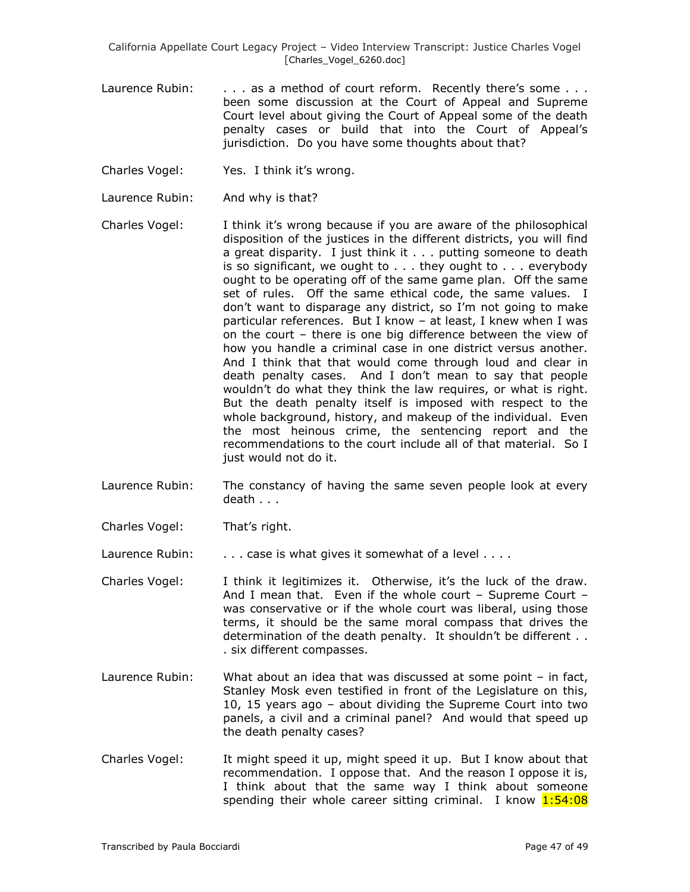- Laurence Rubin: . . . . as a method of court reform. Recently there's some . . . been some discussion at the Court of Appeal and Supreme Court level about giving the Court of Appeal some of the death penalty cases or build that into the Court of Appeal's jurisdiction. Do you have some thoughts about that?
- Charles Vogel: Yes. I think it's wrong.
- Laurence Rubin: And why is that?
- Charles Vogel: I think it's wrong because if you are aware of the philosophical disposition of the justices in the different districts, you will find a great disparity. I just think it . . . putting someone to death is so significant, we ought to . . . they ought to . . . everybody ought to be operating off of the same game plan. Off the same set of rules. Off the same ethical code, the same values. I don't want to disparage any district, so I'm not going to make particular references. But I know – at least, I knew when I was on the court – there is one big difference between the view of how you handle a criminal case in one district versus another. And I think that that would come through loud and clear in death penalty cases. And I don't mean to say that people wouldn't do what they think the law requires, or what is right. But the death penalty itself is imposed with respect to the whole background, history, and makeup of the individual. Even the most heinous crime, the sentencing report and the recommendations to the court include all of that material. So I just would not do it.
- Laurence Rubin: The constancy of having the same seven people look at every death . . .
- Charles Vogel: That's right.
- Laurence Rubin:  $\ldots$  case is what gives it somewhat of a level  $\ldots$ .
- Charles Vogel: I think it legitimizes it. Otherwise, it's the luck of the draw. And I mean that. Even if the whole court – Supreme Court – was conservative or if the whole court was liberal, using those terms, it should be the same moral compass that drives the determination of the death penalty. It shouldn't be different . . . six different compasses.
- Laurence Rubin: What about an idea that was discussed at some point in fact, Stanley Mosk even testified in front of the Legislature on this, 10, 15 years ago – about dividing the Supreme Court into two panels, a civil and a criminal panel? And would that speed up the death penalty cases?
- Charles Vogel: It might speed it up, might speed it up. But I know about that recommendation. I oppose that. And the reason I oppose it is, I think about that the same way I think about someone spending their whole career sitting criminal. I know  $1:54:08$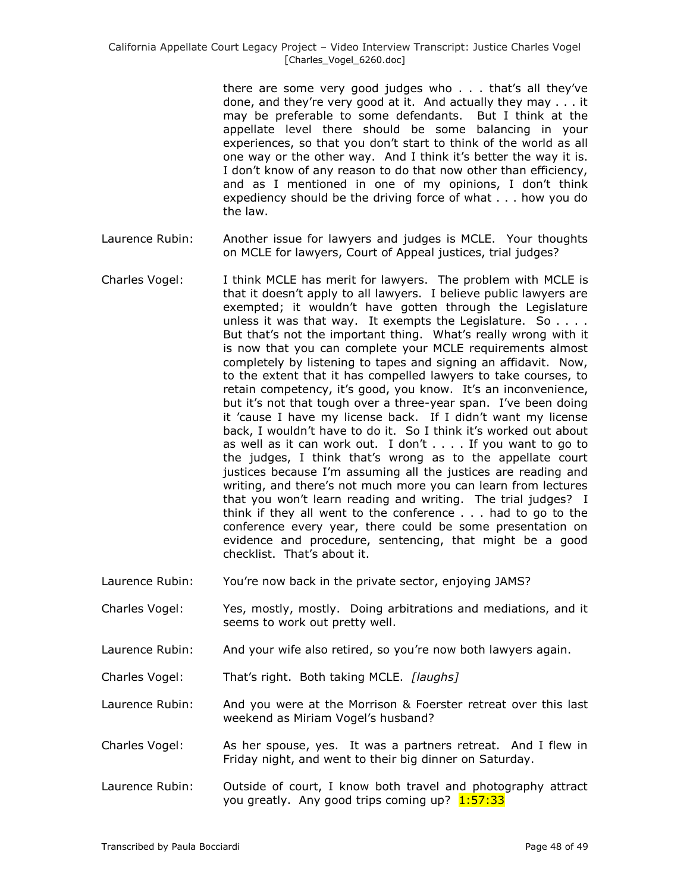there are some very good judges who . . . that's all they've done, and they're very good at it. And actually they may . . . it may be preferable to some defendants. But I think at the appellate level there should be some balancing in your experiences, so that you don't start to think of the world as all one way or the other way. And I think it's better the way it is. I don't know of any reason to do that now other than efficiency, and as I mentioned in one of my opinions, I don't think expediency should be the driving force of what . . . how you do the law.

- Laurence Rubin: Another issue for lawyers and judges is MCLE. Your thoughts on MCLE for lawyers, Court of Appeal justices, trial judges?
- Charles Vogel: I think MCLE has merit for lawyers. The problem with MCLE is that it doesn't apply to all lawyers. I believe public lawyers are exempted; it wouldn't have gotten through the Legislature unless it was that way. It exempts the Legislature. So  $\dots$ . But that's not the important thing. What's really wrong with it is now that you can complete your MCLE requirements almost completely by listening to tapes and signing an affidavit. Now, to the extent that it has compelled lawyers to take courses, to retain competency, it's good, you know. It's an inconvenience, but it's not that tough over a three-year span. I've been doing it 'cause I have my license back. If I didn't want my license back, I wouldn't have to do it. So I think it's worked out about as well as it can work out. I don't . . . . If you want to go to the judges, I think that's wrong as to the appellate court justices because I'm assuming all the justices are reading and writing, and there's not much more you can learn from lectures that you won't learn reading and writing. The trial judges? I think if they all went to the conference . . . had to go to the conference every year, there could be some presentation on evidence and procedure, sentencing, that might be a good checklist. That's about it.
- Laurence Rubin: You're now back in the private sector, enjoying JAMS?
- Charles Vogel: Yes, mostly, mostly. Doing arbitrations and mediations, and it seems to work out pretty well.
- Laurence Rubin: And your wife also retired, so you're now both lawyers again.
- Charles Vogel: That's right. Both taking MCLE. *[laughs]*
- Laurence Rubin: And you were at the Morrison & Foerster retreat over this last weekend as Miriam Vogel's husband?
- Charles Vogel: As her spouse, yes. It was a partners retreat. And I flew in Friday night, and went to their big dinner on Saturday.
- Laurence Rubin: Outside of court, I know both travel and photography attract you greatly. Any good trips coming up? 1:57:33